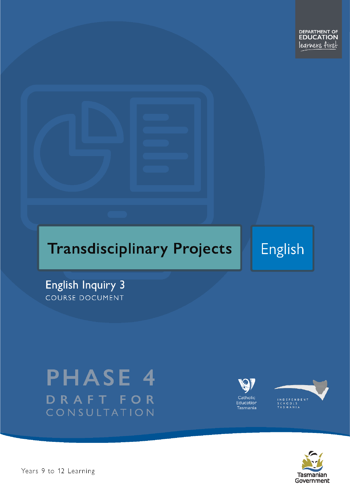# **Transdisciplinary Projects**

**English** 

**English Inquiry 3** COURSE DOCUMENT

# **PHASE 4** DRAFT FOR CONSULTATION





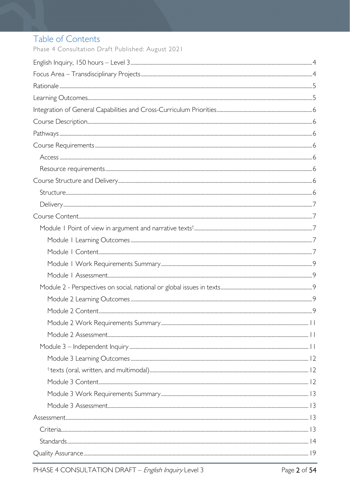# Table of Contents

Phase 4 Consultation Draft Published: August 2021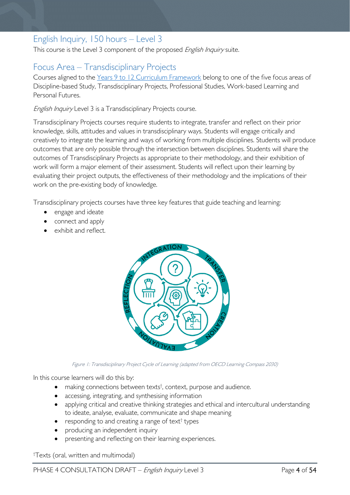# <span id="page-3-0"></span>English Inquiry, 150 hours – Level 3

This course is the Level 3 component of the proposed English Inquiry suite.

# <span id="page-3-1"></span>Focus Area – Transdisciplinary Projects

Courses aligned to the [Years 9 to 12 Curriculum Framework](https://publicdocumentcentre.education.tas.gov.au/library/Shared%20Documents/Education%209-12%20Frameworks%20A3%20WEB%20POSTER.pdf) belong to one of the five focus areas of Discipline-based Study, Transdisciplinary Projects, Professional Studies, Work-based Learning and Personal Futures.

English Inquiry Level 3 is a Transdisciplinary Projects course.

Transdisciplinary Projects courses require students to integrate, transfer and reflect on their prior knowledge, skills, attitudes and values in transdisciplinary ways. Students will engage critically and creatively to integrate the learning and ways of working from multiple disciplines. Students will produce outcomes that are only possible through the intersection between disciplines. Students will share the outcomes of Transdisciplinary Projects as appropriate to their methodology, and their exhibition of work will form a major element of their assessment. Students will reflect upon their learning by evaluating their project outputs, the effectiveness of their methodology and the implications of their work on the pre-existing body of knowledge.

Transdisciplinary projects courses have three key features that guide teaching and learning:

- engage and ideate
- connect and apply
- exhibit and reflect.



Figure 1: Transdisciplinary Project Cycle of Learning (adapted from OECD Learning Compass 2030)

In this course learners will do this by:

- making connections between texts<sup>†</sup>, context, purpose and audience.
- accessing, integrating, and synthesising information
- applying critical and creative thinking strategies and ethical and intercultural understanding to ideate, analyse, evaluate, communicate and shape meaning
- responding to and creating a range of text<sup>†</sup> types
- producing an independent inquiry
- presenting and reflecting on their learning experiences.

† Texts (oral, written and multimodal)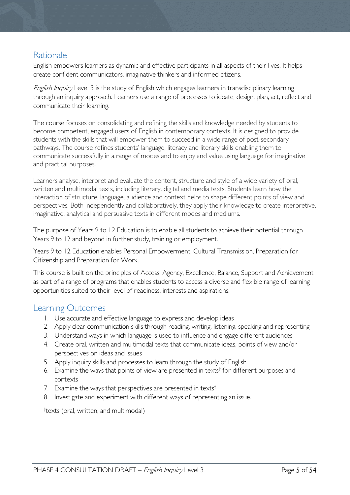### <span id="page-4-0"></span>Rationale

English empowers learners as dynamic and effective participants in all aspects of their lives. It helps create confident communicators, imaginative thinkers and informed citizens.

English Inquiry Level 3 is the study of English which engages learners in transdisciplinary learning through an inquiry approach. Learners use a range of processes to ideate, design, plan, act, reflect and communicate their learning.

The course focuses on consolidating and refining the skills and knowledge needed by students to become competent, engaged users of English in contemporary contexts. It is designed to provide students with the skills that will empower them to succeed in a wide range of post-secondary pathways. The course refines students' language, literacy and literary skills enabling them to communicate successfully in a range of modes and to enjoy and value using language for imaginative and practical purposes.

Learners analyse, interpret and evaluate the content, structure and style of a wide variety of oral, written and multimodal texts, including literary, digital and media texts. Students learn how the interaction of structure, language, audience and context helps to shape different points of view and perspectives. Both independently and collaboratively, they apply their knowledge to create interpretive, imaginative, analytical and persuasive texts in different modes and mediums.

The purpose of Years 9 to 12 Education is to enable all students to achieve their potential through Years 9 to 12 and beyond in further study, training or employment.

Years 9 to 12 Education enables Personal Empowerment, Cultural Transmission, Preparation for Citizenship and Preparation for Work.

This course is built on the principles of Access, Agency, Excellence, Balance, Support and Achievement as part of a range of programs that enables students to access a diverse and flexible range of learning opportunities suited to their level of readiness, interests and aspirations.

### <span id="page-4-1"></span>Learning Outcomes

- 1. Use accurate and effective language to express and develop ideas
- 2. Apply clear communication skills through reading, writing, listening, speaking and representing
- 3. Understand ways in which language is used to influence and engage different audiences
- 4. Create oral, written and multimodal texts that communicate ideas, points of view and/or perspectives on ideas and issues
- 5. Apply inquiry skills and processes to learn through the study of English
- 6. Examine the ways that points of view are presented in texts<sup>†</sup> for different purposes and contexts
- 7. Examine the ways that perspectives are presented in texts<sup>†</sup>
- 8. Investigate and experiment with different ways of representing an issue.

<span id="page-4-2"></span>† texts (oral, written, and multimodal)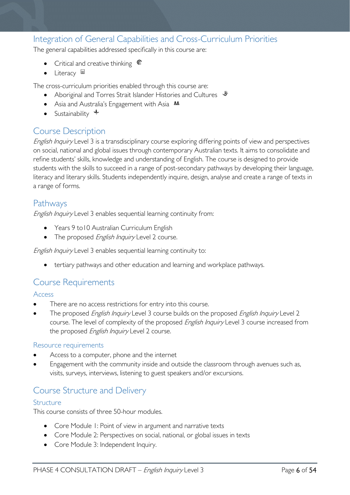# Integration of General Capabilities and Cross-Curriculum Priorities

The general capabilities addressed specifically in this course are:

- Critical and creative thinking  $\mathbb{C}$
- Literacy  $\blacksquare$

The cross-curriculum priorities enabled through this course are:

- Aboriginal and Torres Strait Islander Histories and Cultures  $\mathcal$
- Asia and Australia's Engagement with Asia **AA**
- Sustainability  $+$

# <span id="page-5-0"></span>Course Description

English Inquiry Level 3 is a transdisciplinary course exploring differing points of view and perspectives on social, national and global issues through contemporary Australian texts. It aims to consolidate and refine students' skills, knowledge and understanding of English. The course is designed to provide students with the skills to succeed in a range of post-secondary pathways by developing their language, literacy and literary skills. Students independently inquire, design, analyse and create a range of texts in a range of forms.

### <span id="page-5-1"></span>Pathways

English Inquiry Level 3 enables sequential learning continuity from:

- Years 9 to10 Australian Curriculum English
- The proposed *English Inquiry* Level 2 course.

English Inquiry Level 3 enables sequential learning continuity to:

• tertiary pathways and other education and learning and workplace pathways.

### <span id="page-5-2"></span>Course Requirements

### <span id="page-5-3"></span>Access

- There are no access restrictions for entry into this course.
- The proposed *English Inquiry* Level 3 course builds on the proposed *English Inquiry* Level 2 course. The level of complexity of the proposed *English Inquiry* Level 3 course increased from the proposed English Inquiry Level 2 course.

### <span id="page-5-4"></span>Resource requirements

- Access to a computer, phone and the internet
- Engagement with the community inside and outside the classroom through avenues such as, visits, surveys, interviews, listening to guest speakers and/or excursions.

### <span id="page-5-5"></span>Course Structure and Delivery

### <span id="page-5-6"></span>Structure

This course consists of three 50-hour modules.

- Core Module 1: Point of view in argument and narrative texts
- Core Module 2: Perspectives on social, national, or global issues in texts
- Core Module 3: Independent Inquiry.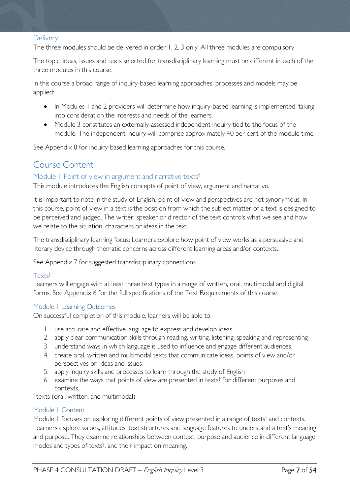### <span id="page-6-0"></span>**Delivery**

The three modules should be delivered in order 1, 2, 3 only. All three modules are compulsory.

The topic, ideas, issues and texts selected for transdisciplinary learning must be different in each of the three modules in this course.

In this course a broad range of inquiry-based learning approaches, processes and models may be applied:

- In Modules 1 and 2 providers will determine how inquiry-based learning is implemented, taking into consideration the interests and needs of the learners.
- Module 3 constitutes an externally-assessed independent inquiry tied to the focus of the module. The independent inquiry will comprise approximately 40 per cent of the module time.

See Appendix 8 for inquiry-based learning approaches for this course.

### <span id="page-6-1"></span>Course Content

### <span id="page-6-2"></span>Module 1 Point of view in argument and narrative texts<sup>†</sup>

This module introduces the English concepts of point of view, argument and narrative.

It is important to note in the study of English, point of view and perspectives are not synonymous. In this course, point of view in a text is the position from which the subject matter of a text is designed to be perceived and judged. The writer, speaker or director of the text controls what we see and how we relate to the situation, characters or ideas in the text.

The transdisciplinary learning focus: Learners explore how point of view works as a persuasive and literary device through thematic concerns across different learning areas and/or contexts.

See Appendix 7 for suggested transdisciplinary connections.

#### Texts†

Learners will engage with at least three text types in a range of written, oral, multimodal and digital forms. See Appendix 6 for the full specifications of the Text Requirements of this course.

### <span id="page-6-3"></span>Module 1 Learning Outcomes

On successful completion of this module, learners will be able to:

- 1. use accurate and effective language to express and develop ideas
- 2. apply clear communication skills through reading, writing, listening, speaking and representing
- 3. understand ways in which language is used to influence and engage different audiences
- 4. create oral, written and multimodal texts that communicate ideas, points of view and/or perspectives on ideas and issues
- 5. apply inquiry skills and processes to learn through the study of English
- 6. examine the ways that points of view are presented in texts† for different purposes and contexts.

† texts (oral, written, and multimodal)

### <span id="page-6-4"></span>Module 1 Content

Module 1 focuses on exploring different points of view presented in a range of texts<sup>†</sup> and contexts. Learners explore values, attitudes, text structures and language features to understand a text's meaning and purpose. They examine relationships between context, purpose and audience in different language modes and types of texts† , and their impact on meaning.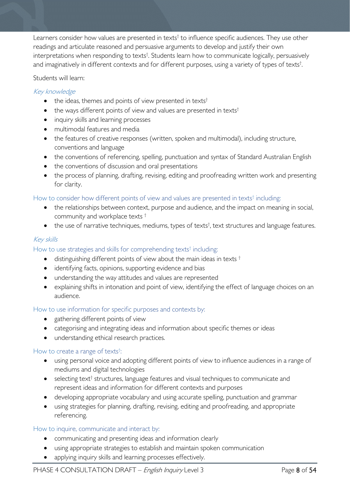Learners consider how values are presented in texts<sup>†</sup> to influence specific audiences. They use other readings and articulate reasoned and persuasive arguments to develop and justify their own interpretations when responding to texts<sup>†</sup>. Students learn how to communicate logically, persuasively and imaginatively in different contexts and for different purposes, using a variety of types of texts<sup>†</sup>. .

### Students will learn:

### Key knowledge

- the ideas, themes and points of view presented in texts<sup>†</sup>
- the ways different points of view and values are presented in texts<sup>†</sup>
- inquiry skills and learning processes
- multimodal features and media
- the features of creative responses (written, spoken and multimodal), including structure, conventions and language
- the conventions of referencing, spelling, punctuation and syntax of Standard Australian English
- the conventions of discussion and oral presentations
- the process of planning, drafting, revising, editing and proofreading written work and presenting for clarity.

### How to consider how different points of view and values are presented in texts<sup>†</sup> including:

- the relationships between context, purpose and audience, and the impact on meaning in social, community and workplace texts †
- the use of narrative techniques, mediums, types of texts<sup>†</sup>, text structures and language features.

### Key skills

### How to use strategies and skills for comprehending texts<sup>†</sup> including:

- distinguishing different points of view about the main ideas in texts  $<sup>†</sup>$ </sup>
- identifying facts, opinions, supporting evidence and bias
- understanding the way attitudes and values are represented
- explaining shifts in intonation and point of view, identifying the effect of language choices on an audience.

### How to use information for specific purposes and contexts by:

- gathering different points of view
- categorising and integrating ideas and information about specific themes or ideas
- understanding ethical research practices.

#### How to create a range of texts<sup>†</sup>: :

- using personal voice and adopting different points of view to influence audiences in a range of mediums and digital technologies
- selecting text<sup>†</sup> structures, language features and visual techniques to communicate and represent ideas and information for different contexts and purposes
- developing appropriate vocabulary and using accurate spelling, punctuation and grammar
- using strategies for planning, drafting, revising, editing and proofreading, and appropriate referencing.

### How to inquire, communicate and interact by:

- communicating and presenting ideas and information clearly
- using appropriate strategies to establish and maintain spoken communication
- applying inquiry skills and learning processes effectively.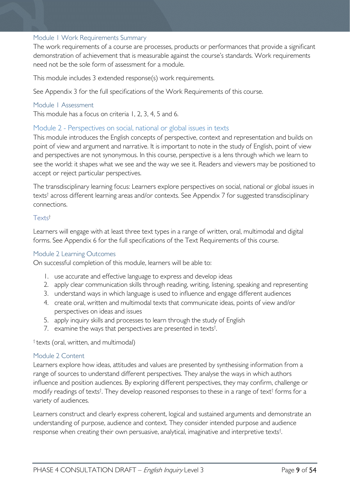### <span id="page-8-0"></span>Module 1 Work Requirements Summary

The work requirements of a course are processes, products or performances that provide a significant demonstration of achievement that is measurable against the course's standards. Work requirements need not be the sole form of assessment for a module.

This module includes 3 extended response(s) work requirements.

See Appendix 3 for the full specifications of the Work Requirements of this course.

#### <span id="page-8-1"></span>Module 1 Assessment

This module has a focus on criteria 1, 2, 3, 4, 5 and 6.

### <span id="page-8-2"></span>Module 2 - Perspectives on social, national or global issues in texts

This module introduces the English concepts of perspective, context and representation and builds on point of view and argument and narrative. It is important to note in the study of English, point of view and perspectives are not synonymous. In this course, perspective is a lens through which we learn to see the world: it shapes what we see and the way we see it. Readers and viewers may be positioned to accept or reject particular perspectives.

The transdisciplinary learning focus: Learners explore perspectives on social, national or global issues in texts† across different learning areas and/or contexts. See Appendix 7 for suggested transdisciplinary connections.

### Texts†

Learners will engage with at least three text types in a range of written, oral, multimodal and digital forms. See Appendix 6 for the full specifications of the Text Requirements of this course.

#### <span id="page-8-3"></span>Module 2 Learning Outcomes

On successful completion of this module, learners will be able to:

- 1. use accurate and effective language to express and develop ideas
- 2. apply clear communication skills through reading, writing, listening, speaking and representing
- 3. understand ways in which language is used to influence and engage different audiences
- 4. create oral, written and multimodal texts that communicate ideas, points of view and/or perspectives on ideas and issues
- 5. apply inquiry skills and processes to learn through the study of English
- 7. examine the ways that perspectives are presented in texts<sup>†</sup>. .

† texts (oral, written, and multimodal)

#### <span id="page-8-4"></span>Module 2 Content

Learners explore how ideas, attitudes and values are presented by synthesising information from a range of sources to understand different perspectives. They analyse the ways in which authors influence and position audiences. By exploring different perspectives, they may confirm, challenge or modify readings of texts† . They develop reasoned responses to these in a range of text† forms for a variety of audiences.

Learners construct and clearly express coherent, logical and sustained arguments and demonstrate an understanding of purpose, audience and context. They consider intended purpose and audience response when creating their own persuasive, analytical, imaginative and interpretive texts† .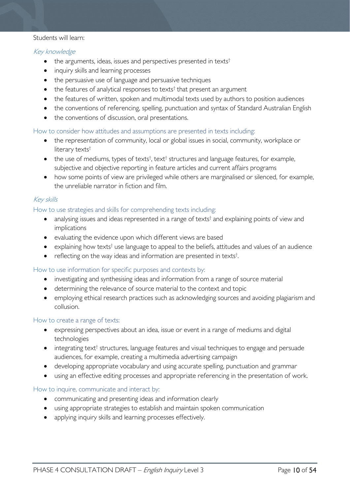#### Students will learn:

### Key knowledge

- the arguments, ideas, issues and perspectives presented in texts<sup>†</sup>
- inquiry skills and learning processes
- the persuasive use of language and persuasive techniques
- $\bullet$  the features of analytical responses to texts<sup>†</sup> that present an argument
- the features of written, spoken and multimodal texts used by authors to position audiences
- the conventions of referencing, spelling, punctuation and syntax of Standard Australian English
- the conventions of discussion, oral presentations.

#### How to consider how attitudes and assumptions are presented in texts including:

- the representation of community, local or global issues in social, community, workplace or literary texts†
- $\bullet$  the use of mediums, types of texts<sup>†</sup>, text<sup>†</sup> structures and language features, for example, subjective and objective reporting in feature articles and current affairs programs
- how some points of view are privileged while others are marginalised or silenced, for example, the unreliable narrator in fiction and film.

### Key skills

### How to use strategies and skills for comprehending texts including:

- analysing issues and ideas represented in a range of texts<sup>†</sup> and explaining points of view and implications
- evaluating the evidence upon which different views are based
- explaining how texts<sup>†</sup> use language to appeal to the beliefs, attitudes and values of an audience
- reflecting on the way ideas and information are presented in texts<sup>†</sup>.

#### How to use information for specific purposes and contexts by:

- investigating and synthesising ideas and information from a range of source material
- determining the relevance of source material to the context and topic
- employing ethical research practices such as acknowledging sources and avoiding plagiarism and collusion.

#### How to create a range of texts:

- expressing perspectives about an idea, issue or event in a range of mediums and digital technologies
- integrating text<sup>†</sup> structures, language features and visual techniques to engage and persuade audiences, for example, creating a multimedia advertising campaign
- developing appropriate vocabulary and using accurate spelling, punctuation and grammar
- using an effective editing processes and appropriate referencing in the presentation of work.

#### How to inquire, communicate and interact by:

- communicating and presenting ideas and information clearly
- using appropriate strategies to establish and maintain spoken communication
- applying inquiry skills and learning processes effectively.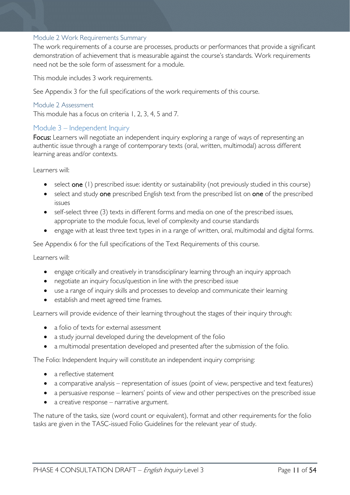### <span id="page-10-0"></span>Module 2 Work Requirements Summary

The work requirements of a course are processes, products or performances that provide a significant demonstration of achievement that is measurable against the course's standards. Work requirements need not be the sole form of assessment for a module.

This module includes 3 work requirements.

See Appendix 3 for the full specifications of the work requirements of this course.

### <span id="page-10-1"></span>Module 2 Assessment

This module has a focus on criteria 1, 2, 3, 4, 5 and 7.

### <span id="page-10-2"></span>Module 3 – Independent Inquiry

Focus: Learners will negotiate an independent inquiry exploring a range of ways of representing an authentic issue through a range of contemporary texts (oral, written, multimodal) across different learning areas and/or contexts.

Learners will:

- select one (1) prescribed issue: identity or sustainability (not previously studied in this course)
- select and study one prescribed English text from the prescribed list on one of the prescribed issues
- self-select three (3) texts in different forms and media on one of the prescribed issues, appropriate to the module focus, level of complexity and course standards
- engage with at least three text types in in a range of written, oral, multimodal and digital forms.

See Appendix 6 for the full specifications of the Text Requirements of this course.

Learners will:

- engage critically and creatively in transdisciplinary learning through an inquiry approach
- negotiate an inquiry focus/question in line with the prescribed issue
- use a range of inquiry skills and processes to develop and communicate their learning
- establish and meet agreed time frames.

Learners will provide evidence of their learning throughout the stages of their inquiry through:

- a folio of texts for external assessment
- a study journal developed during the development of the folio
- a multimodal presentation developed and presented after the submission of the folio.

The Folio: Independent Inquiry will constitute an independent inquiry comprising:

- a reflective statement
- a comparative analysis representation of issues (point of view, perspective and text features)
- a persuasive response learners' points of view and other perspectives on the prescribed issue
- a creative response narrative argument.

<span id="page-10-3"></span>The nature of the tasks, size (word count or equivalent), format and other requirements for the folio tasks are given in the TASC-issued Folio Guidelines for the relevant year of study.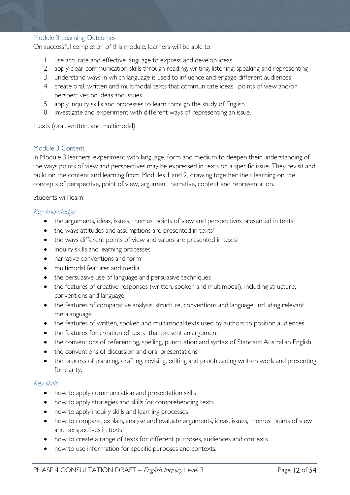#### Module 3 Learning Outcomes

On successful completion of this module, learners will be able to:

- 1. use accurate and effective language to express and develop ideas
- 2. apply clear communication skills through reading, writing, listening, speaking and representing
- 3. understand ways in which language is used to influence and engage different audiences
- 4. create oral, written and multimodal texts that communicate ideas, points of view and/or perspectives on ideas and issues
- 5. apply inquiry skills and processes to learn through the study of English
- 8. investigate and experiment with different ways of representing an issue.

<span id="page-11-0"></span>† texts (oral, written, and multimodal)

### <span id="page-11-1"></span>Module 3 Content

In Module 3 learners' experiment with language, form and medium to deepen their understanding of the ways points of view and perspectives may be expressed in texts on a specific issue. They revisit and build on the content and learning from Modules 1 and 2, drawing together their learning on the concepts of perspective, point of view, argument, narrative, context and representation.

Students will learn:

### Key knowledge

- the arguments, ideas, issues, themes, points of view and perspectives presented in texts<sup>†</sup>
- the ways attitudes and assumptions are presented in texts<sup>†</sup>
- the ways different points of view and values are presented in texts<sup>†</sup>
- inquiry skills and learning processes
- narrative conventions and form
- multimodal features and media
- the persuasive use of language and persuasive techniques
- the features of creative responses (written, spoken and multimodal), including structure, conventions and language
- the features of comparative analysis: structure, conventions and language, including relevant metalanguage
- the features of written, spoken and multimodal texts used by authors to position audiences
- $\bullet$  the features for creation of texts<sup>†</sup> that present an argument
- the conventions of referencing, spelling, punctuation and syntax of Standard Australian English
- the conventions of discussion and oral presentations
- the process of planning, drafting, revising, editing and proofreading written work and presenting for clarity.

#### Key skills

- how to apply communication and presentation skills
- how to apply strategies and skills for comprehending texts
- how to apply inquiry skills and learning processes
- how to compare, explain, analyse and evaluate arguments, ideas, issues, themes, points of view and perspectives in texts†
- how to create a range of texts for different purposes, audiences and contexts
- how to use information for specific purposes and contexts.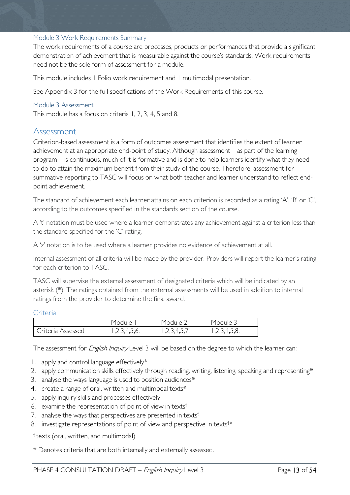### <span id="page-12-0"></span>Module 3 Work Requirements Summary

The work requirements of a course are processes, products or performances that provide a significant demonstration of achievement that is measurable against the course's standards. Work requirements need not be the sole form of assessment for a module.

This module includes 1 Folio work requirement and 1 multimodal presentation.

See Appendix 3 for the full specifications of the Work Requirements of this course.

### <span id="page-12-1"></span>Module 3 Assessment

<span id="page-12-2"></span>This module has a focus on criteria 1, 2, 3, 4, 5 and 8.

### Assessment

Criterion-based assessment is a form of outcomes assessment that identifies the extent of learner achievement at an appropriate end-point of study. Although assessment – as part of the learning program – is continuous, much of it is formative and is done to help learners identify what they need to do to attain the maximum benefit from their study of the course. Therefore, assessment for summative reporting to TASC will focus on what both teacher and learner understand to reflect endpoint achievement.

The standard of achievement each learner attains on each criterion is recorded as a rating 'A', 'B' or 'C', according to the outcomes specified in the standards section of the course.

A 't' notation must be used where a learner demonstrates any achievement against a criterion less than the standard specified for the 'C' rating.

A 'z' notation is to be used where a learner provides no evidence of achievement at all.

Internal assessment of all criteria will be made by the provider. Providers will report the learner's rating for each criterion to TASC.

TASC will supervise the external assessment of designated criteria which will be indicated by an asterisk (\*). The ratings obtained from the external assessments will be used in addition to internal ratings from the provider to determine the final award.

#### <span id="page-12-3"></span>Criteria

|                   | Module       | Module ∠    | Module <sub>-</sub> |
|-------------------|--------------|-------------|---------------------|
| Criteria Assessed | 1,2,3,4,5,6. | 123457<br>. | 1,2,3,4,5,8.        |

The assessment for *English Inquiry* Level 3 will be based on the degree to which the learner can:

- 1. apply and control language effectively\*
- 2. apply communication skills effectively through reading, writing, listening, speaking and representing\*
- 3. analyse the ways language is used to position audiences\*
- 4. create a range of oral, written and multimodal texts\*
- 5. apply inquiry skills and processes effectively
- 6. examine the representation of point of view in texts†
- 7. analyse the ways that perspectives are presented in texts<sup>†</sup>
- 8. investigate representations of point of view and perspective in texts<sup>†\*</sup>

† texts (oral, written, and multimodal)

\* Denotes criteria that are both internally and externally assessed.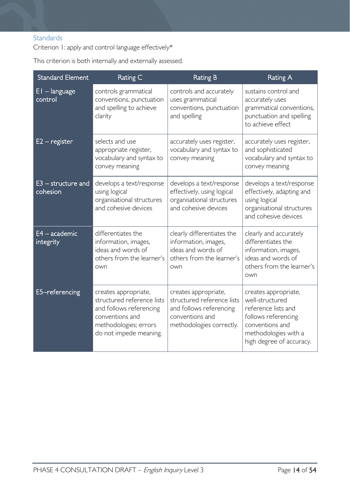### <span id="page-13-0"></span>**Standards**

Criterion 1: apply and control language effectively\*

This criterion is both internally and externally assessed.

| <b>Standard Element</b>          | Rating C                                                                                                                                            | <b>Rating B</b>                                                                                                              | <b>Rating A</b>                                                                                                                                              |
|----------------------------------|-----------------------------------------------------------------------------------------------------------------------------------------------------|------------------------------------------------------------------------------------------------------------------------------|--------------------------------------------------------------------------------------------------------------------------------------------------------------|
| $EI - language$<br>control       | controls grammatical<br>conventions, punctuation<br>and spelling to achieve<br>clarity                                                              | controls and accurately<br>uses grammatical<br>conventions, punctuation<br>and spelling                                      | sustains control and<br>accurately uses<br>grammatical conventions,<br>punctuation and spelling<br>to achieve effect                                         |
| $E2 -$ register                  | selects and use<br>appropriate register,<br>vocabulary and syntax to<br>convey meaning                                                              | accurately uses register,<br>vocabulary and syntax to<br>convey meaning                                                      | accurately uses register,<br>and sophisticated<br>vocabulary and syntax to<br>convey meaning                                                                 |
| $E3$ – structure and<br>cohesion | develops a text/response<br>using logical<br>organisational structures<br>and cohesive devices                                                      | develops a text/response<br>effectively, using logical<br>organisational structures<br>and cohesive devices                  | develops a text/response<br>effectively, adapting and<br>using logical<br>organisational structures<br>and cohesive devices                                  |
| $E4 - academic$<br>integrity     | differentiates the<br>information, images,<br>ideas and words of<br>others from the learner's<br>own                                                | clearly differentiates the<br>information, images,<br>ideas and words of<br>others from the learner's<br>own                 | clearly and accurately<br>differentiates the<br>information, images,<br>ideas and words of<br>others from the learner's<br>own                               |
| E5-referencing                   | creates appropriate,<br>structured reference lists<br>and follows referencing<br>conventions and<br>methodologies; errors<br>do not impede meaning. | creates appropriate,<br>structured reference lists<br>and follows referencing<br>conventions and<br>methodologies correctly. | creates appropriate,<br>well-structured<br>reference lists and<br>follows referencing<br>conventions and<br>methodologies with a<br>high degree of accuracy. |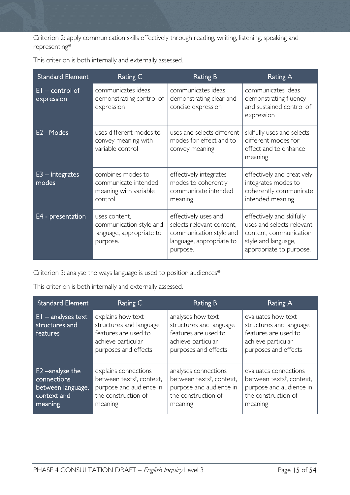Criterion 2: apply communication skills effectively through reading, writing, listening, speaking and representing\*

| <b>Standard Element</b>         | Rating C                                                                         | <b>Rating B</b>                                                                                                      | Rating A                                                                                                                           |
|---------------------------------|----------------------------------------------------------------------------------|----------------------------------------------------------------------------------------------------------------------|------------------------------------------------------------------------------------------------------------------------------------|
| $EI$ – control of<br>expression | communicates ideas<br>demonstrating control of<br>expression                     | communicates ideas<br>demonstrating clear and<br>concise expression                                                  | communicates ideas<br>demonstrating fluency<br>and sustained control of<br>expression                                              |
| E2-Modes                        | uses different modes to<br>convey meaning with<br>variable control               | uses and selects different<br>modes for effect and to<br>convey meaning                                              | skilfully uses and selects<br>different modes for<br>effect and to enhance<br>meaning                                              |
| $E3$ – integrates<br>modes      | combines modes to<br>communicate intended<br>meaning with variable<br>control    | effectively integrates<br>modes to coherently<br>communicate intended<br>meaning                                     | effectively and creatively<br>integrates modes to<br>coherently communicate<br>intended meaning                                    |
| E4 - presentation               | uses content,<br>communication style and<br>language, appropriate to<br>purpose. | effectively uses and<br>selects relevant content,<br>communication style and<br>language, appropriate to<br>purpose. | effectively and skilfully<br>uses and selects relevant<br>content, communication<br>style and language,<br>appropriate to purpose. |

This criterion is both internally and externally assessed.

Criterion 3: analyse the ways language is used to position audiences\*

This criterion is both internally and externally assessed.

| <b>Standard Element</b>                                                       | Rating C                                                                                                                   | Rating B                                                                                                                   | Rating A                                                                                                                    |
|-------------------------------------------------------------------------------|----------------------------------------------------------------------------------------------------------------------------|----------------------------------------------------------------------------------------------------------------------------|-----------------------------------------------------------------------------------------------------------------------------|
| $EI$ – analyses text<br>structures and<br>features                            | explains how text<br>structures and language<br>features are used to<br>achieve particular<br>purposes and effects         | analyses how text<br>structures and language<br>features are used to<br>achieve particular<br>purposes and effects         | evaluates how text<br>structures and language<br>features are used to<br>achieve particular<br>purposes and effects         |
| E2 -analyse the<br>connections<br>between language,<br>context and<br>meaning | explains connections<br>between texts <sup>t</sup> , context,<br>purpose and audience in<br>the construction of<br>meaning | analyses connections<br>between texts <sup>t</sup> , context,<br>purpose and audience in<br>the construction of<br>meaning | evaluates connections<br>between texts <sup>†</sup> , context,<br>purpose and audience in<br>the construction of<br>meaning |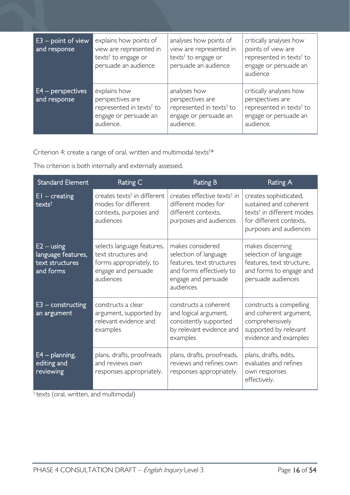| $E3$ – point of view<br>and response | explains how points of<br>view are represented in<br>texts <sup>†</sup> to engage or<br>persuade an audience   | analyses how points of<br>view are represented in<br>texts <sup>†</sup> to engage or<br>persuade an audience   | critically analyses how<br>points of view are<br>represented in texts <sup>†</sup> to<br>engage or persuade an<br>audience |
|--------------------------------------|----------------------------------------------------------------------------------------------------------------|----------------------------------------------------------------------------------------------------------------|----------------------------------------------------------------------------------------------------------------------------|
| $E4$ – perspectives<br>and response  | explains how<br>perspectives are<br>represented in texts <sup>†</sup> to<br>engage or persuade an<br>audience. | analyses how<br>perspectives are<br>represented in texts <sup>†</sup> to<br>engage or persuade an<br>audience. | critically analyses how<br>perspectives are<br>represented in texts <sup>†</sup> to<br>engage or persuade an<br>audience.  |

Criterion 4: create a range of oral, written and multimodal texts<sup>†\*</sup>

This criterion is both internally and externally assessed.

| Standard Element                                                   | Rating C                                                                                                         | <b>Rating B</b>                                                                                                                        | Rating A                                                                                                                                       |
|--------------------------------------------------------------------|------------------------------------------------------------------------------------------------------------------|----------------------------------------------------------------------------------------------------------------------------------------|------------------------------------------------------------------------------------------------------------------------------------------------|
| $EI - creating$<br>texts <sup>t</sup>                              | creates texts <sup>†</sup> in different<br>modes for different<br>contexts, purposes and<br>audiences            | creates effective texts <sup>†</sup> in<br>different modes for<br>different contexts,<br>purposes and audiences                        | creates sophisticated,<br>sustained and coherent<br>texts <sup>†</sup> in different modes<br>for different contexts,<br>purposes and audiences |
| $E2 - using$<br>language features,<br>text structures<br>and forms | selects language features,<br>text structures and<br>forms appropriately, to<br>engage and persuade<br>audiences | makes considered<br>selection of language<br>features, text structures<br>and forms effectively to<br>engage and persuade<br>audiences | makes discerning<br>selection of language<br>features, text structure,<br>and forms to engage and<br>persuade audiences                        |
| $E3$ – constructing<br>an argument                                 | constructs a clear<br>argument, supported by<br>relevant evidence and<br>examples                                | constructs a coherent<br>and logical argument,<br>consistently supported<br>by relevant evidence and<br>examples                       | constructs a compelling<br>and coherent argument,<br>comprehensively<br>supported by relevant<br>evidence and examples                         |
| $E4$ – planning,<br>editing and<br>reviewing                       | plans, drafts, proofreads<br>and reviews own<br>responses appropriately.                                         | plans, drafts, proofreads,<br>reviews and refines own<br>responses appropriately.                                                      | plans, drafts, edits,<br>evaluates and refines<br>own responses<br>effectively.                                                                |

† texts (oral, written, and multimodal)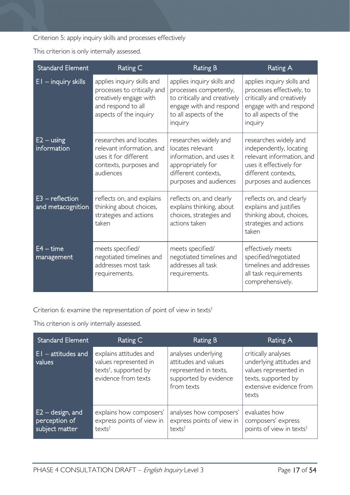Criterion 5: apply inquiry skills and processes effectively

This criterion is only internally assessed.

| <b>Standard Element</b>                | Rating C                                                                                                                            | <b>Rating B</b>                                                                                                                                     | <b>Rating A</b>                                                                                                                                           |
|----------------------------------------|-------------------------------------------------------------------------------------------------------------------------------------|-----------------------------------------------------------------------------------------------------------------------------------------------------|-----------------------------------------------------------------------------------------------------------------------------------------------------------|
| $EI - inquiry skills$                  | applies inquiry skills and<br>processes to critically and<br>creatively engage with<br>and respond to all<br>aspects of the inquiry | applies inquiry skills and<br>processes competently,<br>to critically and creatively<br>engage with and respond<br>to all aspects of the<br>inquiry | applies inquiry skills and<br>processes effectively, to<br>critically and creatively<br>engage with and respond<br>to all aspects of the<br>inquiry       |
| $E2 - using$<br>information            | researches and locates<br>relevant information, and<br>uses it for different<br>contexts, purposes and<br>audiences                 | researches widely and<br>locates relevant<br>information, and uses it<br>appropriately for<br>different contexts,<br>purposes and audiences         | researches widely and<br>independently, locating<br>relevant information, and<br>uses it effectively for<br>different contexts,<br>purposes and audiences |
| $E3$ – reflection<br>and metacognition | reflects on, and explains<br>thinking about choices,<br>strategies and actions<br>taken                                             | reflects on, and clearly<br>explains thinking, about<br>choices, strategies and<br>actions taken                                                    | reflects on, and clearly<br>explains and justifies<br>thinking about, choices,<br>strategies and actions<br>taken                                         |
| $E4 - time$<br>management              | meets specified/<br>negotiated timelines and<br>addresses most task<br>requirements.                                                | meets specified/<br>negotiated timelines and<br>addresses all task<br>requirements.                                                                 | effectively meets<br>specified/negotiated<br>timelines and addresses<br>all task requirements<br>comprehensively.                                         |

Criterion 6: examine the representation of point of view in texts†

This criterion is only internally assessed.

| <b>Standard Element</b>                               | Rating C                                                                                                    | Rating B                                                                                                    | Rating A                                                                                                                            |
|-------------------------------------------------------|-------------------------------------------------------------------------------------------------------------|-------------------------------------------------------------------------------------------------------------|-------------------------------------------------------------------------------------------------------------------------------------|
| $E1 -$ attitudes and<br>values                        | explains attitudes and<br>values represented in<br>texts <sup>†</sup> , supported by<br>evidence from texts | analyses underlying<br>attitudes and values<br>represented in texts,<br>supported by evidence<br>from texts | critically analyses<br>underlying attitudes and<br>values represented in<br>texts, supported by<br>extensive evidence from<br>texts |
| $E2 -$ design, and<br>perception of<br>subject matter | explains how composers'<br>express points of view in<br>texts <sup>†</sup>                                  | analyses how composers'<br>express points of view in<br>text                                                | evaluates how<br>composers' express<br>points of view in texts <sup>†</sup>                                                         |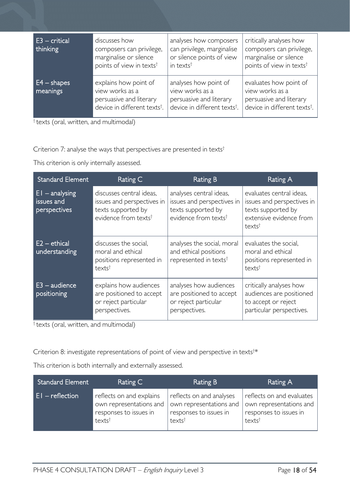| E3 – critical<br>thinking | discusses how<br>composers can privilege,<br>marginalise or silence<br>points of view in texts <sup>†</sup>     | analyses how composers<br>can privilege, marginalise<br>or silence points of view<br>in texts <sup>t</sup>      | critically analyses how<br>composers can privilege,<br>marginalise or silence<br>points of view in texts <sup>t</sup> |
|---------------------------|-----------------------------------------------------------------------------------------------------------------|-----------------------------------------------------------------------------------------------------------------|-----------------------------------------------------------------------------------------------------------------------|
| $E4 - shapes$<br>meanings | explains how point of<br>view works as a<br>persuasive and literary<br>device in different texts <sup>+</sup> . | analyses how point of<br>view works as a<br>persuasive and literary<br>device in different texts <sup>t</sup> . | evaluates how point of<br>view works as a<br>persuasive and literary<br>device in different texts <sup>†</sup> .      |

 $\frac{1}{1}$  texts (oral, written, and multimodal)

Criterion 7: analyse the ways that perspectives are presented in texts<sup>†</sup>

This criterion is only internally assessed.

| Standard Element                               | Rating C                                                                                                         | Rating B                                                                                                        | Rating A                                                                                                                      |
|------------------------------------------------|------------------------------------------------------------------------------------------------------------------|-----------------------------------------------------------------------------------------------------------------|-------------------------------------------------------------------------------------------------------------------------------|
| $E1 -$ analysing<br>issues and<br>perspectives | discusses central ideas,<br>issues and perspectives in<br>texts supported by<br>evidence from texts <sup>†</sup> | analyses central ideas,<br>issues and perspectives in<br>texts supported by<br>evidence from texts <sup>†</sup> | evaluates central ideas,<br>issues and perspectives in<br>texts supported by<br>extensive evidence from<br>texts <sup>†</sup> |
| E2 – ethical<br>understanding                  | discusses the social,<br>moral and ethical<br>positions represented in<br>texts <sup>t</sup>                     | analyses the social, moral<br>and ethical positions<br>represented in texts <sup>t</sup>                        | evaluates the social,<br>moral and ethical<br>positions represented in<br>texts <sup>t</sup>                                  |
| $E3 - \text{audience}$<br>positioning          | explains how audiences<br>are positioned to accept<br>or reject particular<br>perspectives.                      | analyses how audiences<br>are positioned to accept<br>or reject particular<br>perspectives.                     | critically analyses how<br>audiences are positioned<br>to accept or reject<br>particular perspectives.                        |

 $\frac{1}{1}$  texts (oral, written, and multimodal)

Criterion 8: investigate representations of point of view and perspective in texts<sup>†\*</sup>

This criterion is both internally and externally assessed.

| <b>Standard Element</b> | Rating C                 | Rating B                 | Rating A                  |
|-------------------------|--------------------------|--------------------------|---------------------------|
| $E1 -$ reflection       | reflects on and explains | reflects on and analyses | reflects on and evaluates |
|                         | own representations and  | own representations and  | own representations and   |
|                         | responses to issues in   | responses to issues in   | responses to issues in    |
|                         | texts <sup>t</sup>       | texts <sup>†</sup>       | texts <sup>t</sup>        |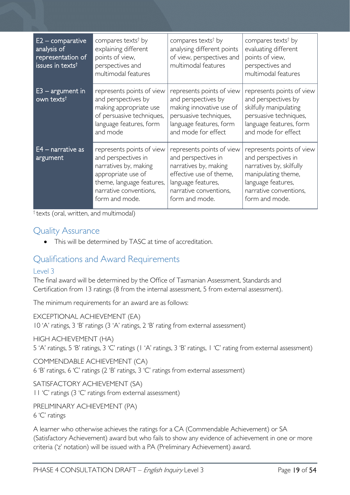| E2 – comparative<br>analysis of<br>representation of<br>issues in texts <sup>t</sup> | compares texts <sup>†</sup> by<br>explaining different<br>points of view,<br>perspectives and<br>multimodal features                                                     | compares texts <sup>†</sup> by<br>analysing different points<br>of view, perspectives and<br>multimodal features                                                       | compares texts <sup>†</sup> by<br>evaluating different<br>points of view,<br>perspectives and<br>multimodal features                                                  |
|--------------------------------------------------------------------------------------|--------------------------------------------------------------------------------------------------------------------------------------------------------------------------|------------------------------------------------------------------------------------------------------------------------------------------------------------------------|-----------------------------------------------------------------------------------------------------------------------------------------------------------------------|
| $E3 - argument$ in<br>own texts <sup>t</sup>                                         | represents points of view<br>and perspectives by<br>making appropriate use<br>of persuasive techniques,<br>language features, form<br>and mode                           | represents points of view<br>and perspectives by<br>making innovative use of<br>persuasive techniques,<br>language features, form<br>and mode for effect               | represents points of view<br>and perspectives by<br>skilfully manipulating<br>persuasive techniques,<br>language features, form<br>and mode for effect                |
| $E4$ – narrative as<br>argument                                                      | represents points of view<br>and perspectives in<br>narratives by, making<br>appropriate use of<br>theme, language features,<br>narrative conventions,<br>form and mode. | represents points of view<br>and perspectives in<br>narratives by, making<br>effective use of theme,<br>language features,<br>narrative conventions,<br>form and mode. | represents points of view<br>and perspectives in<br>narratives by, skilfully<br>manipulating theme,<br>language features,<br>narrative conventions,<br>form and mode. |

† texts (oral, written, and multimodal)

### <span id="page-18-0"></span>Quality Assurance

• This will be determined by TASC at time of accreditation.

### <span id="page-18-1"></span>Qualifications and Award Requirements

### <span id="page-18-2"></span>Level 3

The final award will be determined by the Office of Tasmanian Assessment, Standards and Certification from 13 ratings (8 from the internal assessment, 5 from external assessment).

The minimum requirements for an award are as follows:

EXCEPTIONAL ACHIEVEMENT (EA) 10 'A' ratings, 3 'B' ratings (3 'A' ratings, 2 'B' rating from external assessment)

### HIGH ACHIEVEMENT (HA)

5 'A' ratings, 5 'B' ratings, 3 'C' ratings (1 'A' ratings, 3 'B' ratings, 1 'C' rating from external assessment)

COMMENDABLE ACHIEVEMENT (CA)

6 'B' ratings, 6 'C' ratings (2 'B' ratings, 3 'C' ratings from external assessment)

### SATISFACTORY ACHIEVEMENT (SA)

11 'C' ratings (3 'C' ratings from external assessment)

PRELIMINARY ACHIEVEMENT (PA) 6 'C' ratings

A learner who otherwise achieves the ratings for a CA (Commendable Achievement) or SA (Satisfactory Achievement) award but who fails to show any evidence of achievement in one or more criteria ('z' notation) will be issued with a PA (Preliminary Achievement) award.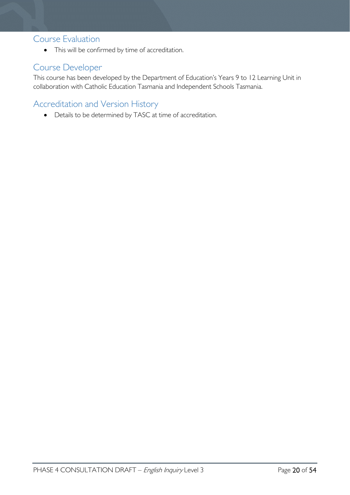### <span id="page-19-0"></span>Course Evaluation

• This will be confirmed by time of accreditation.

# <span id="page-19-1"></span>Course Developer

This course has been developed by the Department of Education's Years 9 to 12 Learning Unit in collaboration with Catholic Education Tasmania and Independent Schools Tasmania.

# <span id="page-19-2"></span>Accreditation and Version History

• Details to be determined by TASC at time of accreditation.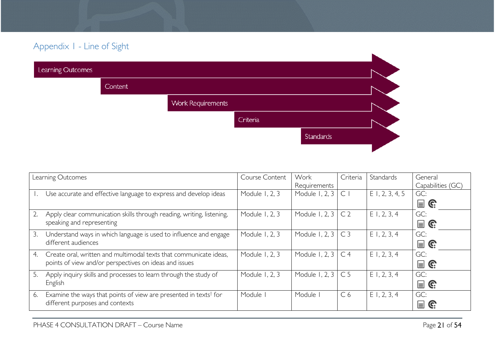# Appendix 1 - Line of Sight

| Learning Outcomes |         |                          |          |           |  |
|-------------------|---------|--------------------------|----------|-----------|--|
|                   | Content |                          |          |           |  |
|                   |         | <b>Work Requirements</b> |          |           |  |
|                   |         |                          | Criteria |           |  |
|                   |         |                          |          | Standards |  |
|                   |         |                          |          |           |  |

<span id="page-20-0"></span>

| Learning Outcomes |                                                                              | Course Content | Work                      | Criteria       | Standards         | General                       |
|-------------------|------------------------------------------------------------------------------|----------------|---------------------------|----------------|-------------------|-------------------------------|
|                   |                                                                              |                | Requirements              |                |                   | Capabilities (GC)             |
|                   | Use accurate and effective language to express and develop ideas             | Module 1, 2, 3 | Module 1, 2, $3 \mid C$   |                | $E$ 1, 2, 3, 4, 5 | GC:                           |
|                   |                                                                              |                |                           |                |                   | $\blacksquare$ G              |
| 2.                | Apply clear communication skills through reading, writing, listening,        | Module 1, 2, 3 | Module 1, 2, 3            | C <sub>2</sub> | $E$ 1, 2, 3, 4    | GC:                           |
|                   | speaking and representing                                                    |                |                           |                |                   | $\mathbf{r} \in \mathbb{R}^n$ |
| 3.                | Understand ways in which language is used to influence and engage            | Module 1, 2, 3 | Module 1, 2, 3 $\mid$ C 3 |                | E1, 2, 3, 4       | GC:                           |
|                   | different audiences                                                          |                |                           |                |                   | $\blacksquare$ G              |
| 4.                | Create oral, written and multimodal texts that communicate ideas,            | Module 1, 2, 3 | Module 1, 2, 3 $\mid$ C 4 |                | $E$ 1, 2, 3, 4    | GC:                           |
|                   | points of view and/or perspectives on ideas and issues                       |                |                           |                |                   | $\mathbf{r} \in \mathbb{R}^n$ |
| -5.               | Apply inquiry skills and processes to learn through the study of             | Module 1, 2, 3 | Module 1, 2, $3 \mid C$ 5 |                | $E$ 1, 2, 3, 4    | GC:                           |
|                   | English                                                                      |                |                           |                |                   | $\mathbf{r} \in \mathbb{R}^n$ |
| 6.                | Examine the ways that points of view are presented in texts <sup>†</sup> for | Module         | Module I                  | C <sub>6</sub> | E1, 2, 3, 4       | GC:                           |
|                   | different purposes and contexts                                              |                |                           |                |                   | $\equiv$<br>C.                |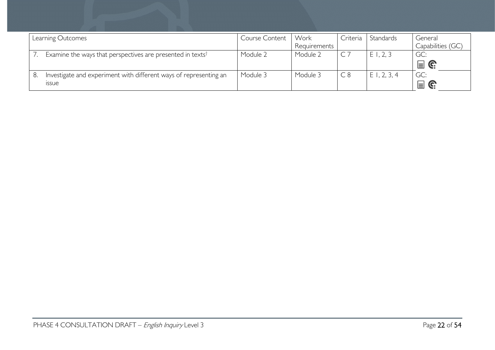| Learning Outcomes                                                      | Course Content | Work         | Criteria | Standards      | General                       |
|------------------------------------------------------------------------|----------------|--------------|----------|----------------|-------------------------------|
|                                                                        |                | Requirements |          |                | Capabilities (GC)             |
| Examine the ways that perspectives are presented in texts <sup>†</sup> | Module 2       | Module 2     |          | E1, 2, 3       | GC:                           |
|                                                                        |                |              |          |                | $\mathbf{r} \in \mathbb{C}^2$ |
| Investigate and experiment with different ways of representing an      | Module 3       | Module 3     | C8       | $E$ 1, 2, 3, 4 | GC:                           |
| <b>ISSUE</b>                                                           |                |              |          |                | 冒<br>C.                       |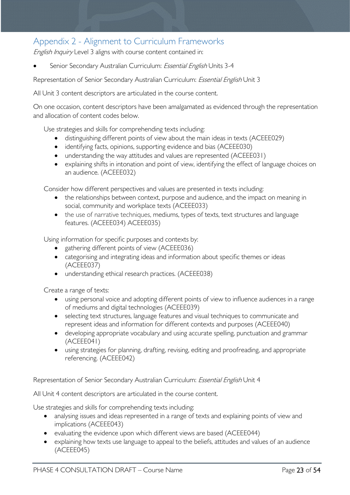# <span id="page-22-0"></span>Appendix 2 - Alignment to Curriculum Frameworks

English Inquiry Level 3 aligns with course content contained in:

Senior Secondary Australian Curriculum: *Essential English* Units 3-4

Representation of Senior Secondary Australian Curriculum: Essential English Unit 3

All Unit 3 content descriptors are articulated in the course content.

On one occasion, content descriptors have been amalgamated as evidenced through the representation and allocation of content codes below.

Use strategies and skills for comprehending texts including:

- distinguishing different points of view about the main ideas in texts (ACEEE029)
- identifying facts, opinions, supporting evidence and bias (ACEEE030)
- understanding the way attitudes and values are represented (ACEEE031)
- explaining shifts in intonation and point of view, identifying the effect of language choices on an audience. (ACEEE032)

Consider how different perspectives and values are presented in texts including:

- the relationships between context, purpose and audience, and the impact on meaning in social, community and workplace texts (ACEEE033)
- the use of narrative techniques, mediums, types of texts, text structures and language features. (ACEEE034) ACEEE035)

Using information for specific purposes and contexts by:

- gathering different points of view (ACEEE036)
- categorising and integrating ideas and information about specific themes or ideas (ACEEE037)
- understanding ethical research practices. (ACEEE038)

Create a range of texts:

- using personal voice and adopting different points of view to influence audiences in a range of mediums and digital technologies (ACEEE039)
- selecting text structures, language features and visual techniques to communicate and represent ideas and information for different contexts and purposes (ACEEE040)
- developing appropriate vocabulary and using accurate spelling, punctuation and grammar (ACEEE041)
- using strategies for planning, drafting, revising, editing and proofreading, and appropriate referencing. (ACEEE042)

Representation of Senior Secondary Australian Curriculum: Essential English Unit 4

All Unit 4 content descriptors are articulated in the course content.

Use strategies and skills for comprehending texts including:

- analysing issues and ideas represented in a range of texts and explaining points of view and implications (ACEEE043)
- evaluating the evidence upon which different views are based (ACEEE044)
- explaining how texts use language to appeal to the beliefs, attitudes and values of an audience (ACEEE045)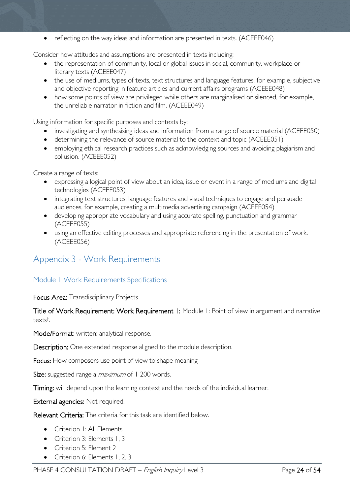• reflecting on the way ideas and information are presented in texts. (ACEEE046)

Consider how attitudes and assumptions are presented in texts including:

- the representation of community, local or global issues in social, community, workplace or literary texts (ACEEE047)
- the use of mediums, types of texts, text structures and language features, for example, subjective and objective reporting in feature articles and current affairs programs (ACEEE048)
- how some points of view are privileged while others are marginalised or silenced, for example, the unreliable narrator in fiction and film. (ACEEE049)

Using information for specific purposes and contexts by:

- investigating and synthesising ideas and information from a range of source material (ACEEE050)
- determining the relevance of source material to the context and topic (ACEEE051)
- employing ethical research practices such as acknowledging sources and avoiding plagiarism and collusion. (ACEEE052)

Create a range of texts:

- expressing a logical point of view about an idea, issue or event in a range of mediums and digital technologies (ACEEE053)
- integrating text structures, language features and visual techniques to engage and persuade audiences, for example, creating a multimedia advertising campaign (ACEEE054)
- developing appropriate vocabulary and using accurate spelling, punctuation and grammar (ACEEE055)
- using an effective editing processes and appropriate referencing in the presentation of work. (ACEEE056)

### <span id="page-23-0"></span>Appendix 3 - Work Requirements

### <span id="page-23-1"></span>Module 1 Work Requirements Specifications

Focus Area: Transdisciplinary Projects

Title of Work Requirement: Work Requirement 1: Module 1: Point of view in argument and narrative texts† .

Mode/Format: written: analytical response.

Description: One extended response aligned to the module description.

Focus: How composers use point of view to shape meaning

Size: suggested range a *maximum* of 1 200 words.

Timing: will depend upon the learning context and the needs of the individual learner.

External agencies: Not required.

Relevant Criteria: The criteria for this task are identified below.

- Criterion I: All Flements
- Criterion 3: Elements 1, 3
- Criterion 5: Element 2
- Criterion 6: Elements 1, 2, 3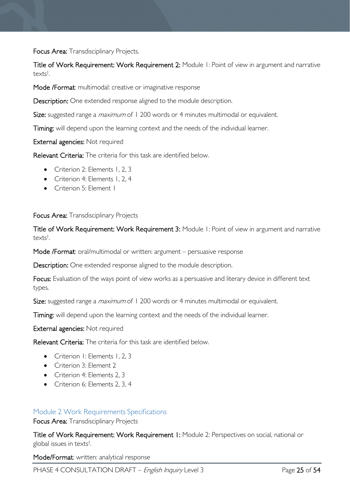Focus Area: Transdisciplinary Projects.

Title of Work Requirement: Work Requirement 2: Module 1: Point of view in argument and narrative texts† .

Mode /Format: multimodal: creative or imaginative response

Description: One extended response aligned to the module description.

Size: suggested range a *maximum* of 1 200 words or 4 minutes multimodal or equivalent.

Timing: will depend upon the learning context and the needs of the individual learner.

External agencies: Not required

Relevant Criteria: The criteria for this task are identified below.

- Criterion 2: Elements 1, 2, 3
- Criterion 4: Elements 1, 2, 4
- Criterion 5: Flement 1

### Focus Area: Transdisciplinary Projects

Title of Work Requirement: Work Requirement 3: Module 1: Point of view in argument and narrative texts† .

Mode /Format: oral/multimodal or written: argument – persuasive response

Description: One extended response aligned to the module description.

Focus: Evaluation of the ways point of view works as a persuasive and literary device in different text types.

Size: suggested range a *maximum* of 1 200 words or 4 minutes multimodal or equivalent.

Timing: will depend upon the learning context and the needs of the individual learner.

External agencies: Not required

Relevant Criteria: The criteria for this task are identified below.

- Criterion I: Elements I, 2, 3
- Criterion 3: Element 2
- Criterion 4: Elements 2, 3
- Criterion 6: Elements 2, 3, 4

### <span id="page-24-0"></span>Module 2 Work Requirements Specifications

Focus Area: Transdisciplinary Projects

Title of Work Requirement: Work Requirement 1: Module 2: Perspectives on social, national or global issues in texts† .

Mode/Format: written: analytical response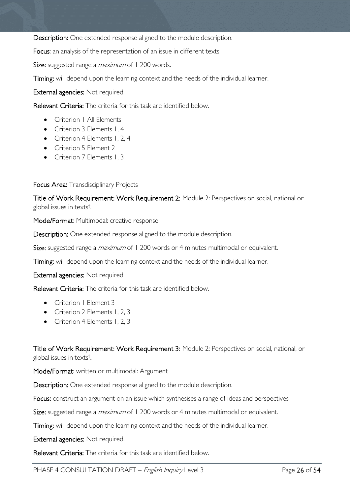Description: One extended response aligned to the module description.

Focus: an analysis of the representation of an issue in different texts

Size: suggested range a *maximum* of 1 200 words.

Timing: will depend upon the learning context and the needs of the individual learner.

External agencies: Not required.

Relevant Criteria: The criteria for this task are identified below.

- Criterion | All Elements
- Criterion 3 Elements 1, 4
- Criterion 4 Elements 1, 2, 4
- Criterion 5 Element 2
- Criterion 7 Elements 1, 3

### Focus Area: Transdisciplinary Projects

Title of Work Requirement: Work Requirement 2: Module 2: Perspectives on social, national or global issues in texts† .

Mode/Format: Multimodal: creative response

Description: One extended response aligned to the module description.

Size: suggested range a *maximum* of 1 200 words or 4 minutes multimodal or equivalent.

Timing: will depend upon the learning context and the needs of the individual learner.

External agencies: Not required

Relevant Criteria: The criteria for this task are identified below.

- Criterion | Element 3
- Criterion 2 Elements 1, 2, 3
- Criterion 4 Elements 1, 2, 3

Title of Work Requirement: Work Requirement 3: Module 2: Perspectives on social, national, or global issues in texts† .

Mode/Format: written or multimodal: Argument

Description: One extended response aligned to the module description.

Focus: construct an argument on an issue which synthesises a range of ideas and perspectives

Size: suggested range a *maximum* of 1 200 words or 4 minutes multimodal or equivalent.

Timing: will depend upon the learning context and the needs of the individual learner.

External agencies: Not required.

Relevant Criteria: The criteria for this task are identified below.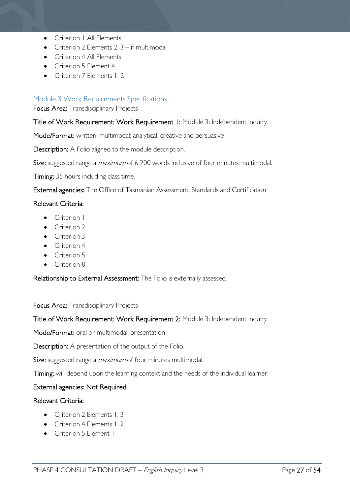- Criterion | All Elements
- Criterion 2 Elements 2,  $3 if$  multimodal
- Criterion 4 All Flements
- Criterion 5 Element 4
- Criterion 7 Elements 1, 2

### <span id="page-26-0"></span>Module 3 Work Requirements Specifications

Focus Area: Transdisciplinary Projects

### Title of Work Requirement: Work Requirement 1: Module 3: Independent Inquiry

Mode/Format: written, multimodal: analytical, creative and persuasive

Description: A Folio aligned to the module description.

Size: suggested range a *maximum* of 6 200 words inclusive of four minutes multimodal.

Timing: 35 hours including class time.

External agencies: The Office of Tasmanian Assessment, Standards and Certification

### Relevant Criteria:

- Criterion I
- Criterion 2
- Criterion 3
- Criterion 4
- Criterion 5
- Criterion 8

Relationship to External Assessment: The Folio is externally assessed.

### Focus Area: Transdisciplinary Projects

Title of Work Requirement: Work Requirement 2: Module 3: Independent Inquiry

Mode/Format: oral or multimodal: presentation

Description: A presentation of the output of the Folio.

Size: suggested range a *maximum* of four minutes multimodal.

Timing: will depend upon the learning context and the needs of the individual learner.

### External agencies: Not Required

### Relevant Criteria:

- Criterion 2 Elements 1, 3
- Criterion 4 Elements 1, 2
- Criterion 5 Element I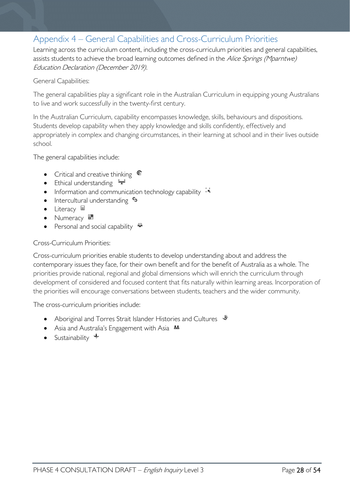# <span id="page-27-0"></span>Appendix 4 – General Capabilities and Cross-Curriculum Priorities

Learning across the curriculum content, including the cross-curriculum priorities and general capabilities, assists students to achieve the broad learning outcomes defined in the Alice Springs (Mparntwe) Education Declaration (December 2019).

### General Capabilities:

The general capabilities play a significant role in the Australian Curriculum in equipping young Australians to live and work successfully in the twenty-first century.

In the Australian Curriculum, capability encompasses knowledge, skills, behaviours and dispositions. Students develop capability when they apply knowledge and skills confidently, effectively and appropriately in complex and changing circumstances, in their learning at school and in their lives outside school.

The general capabilities include:

- Critical and creative thinking  $\mathbb{C}$
- Ethical understanding  $\div$
- Information and communication technology capability  $\cdot \star$
- Intercultural understanding  $\frac{c_3}{ }$
- Literacy  $\blacksquare$
- Numeracy
- Personal and social capability  $\ddot{\ddot{\bullet}}$

### Cross-Curriculum Priorities:

Cross-curriculum priorities enable students to develop understanding about and address the contemporary issues they face, for their own benefit and for the benefit of Australia as a whole. The priorities provide national, regional and global dimensions which will enrich the curriculum through development of considered and focused content that fits naturally within learning areas. Incorporation of the priorities will encourage conversations between students, teachers and the wider community.

The cross-curriculum priorities include:

- Aboriginal and Torres Strait Islander Histories and Cultures  $\mathcal$
- Asia and Australia's Engagement with Asia **AA**
- Sustainability  $\triangleleft$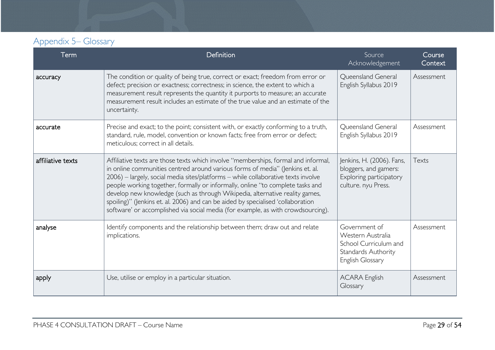# Appendix 5– Glossary

<span id="page-28-0"></span>

| Term              | Definition                                                                                                                                                                                                                                                                                                                                                                                                                                                                                                                                                                                         | Source<br>Acknowledgement                                                                              | Course<br>Context |
|-------------------|----------------------------------------------------------------------------------------------------------------------------------------------------------------------------------------------------------------------------------------------------------------------------------------------------------------------------------------------------------------------------------------------------------------------------------------------------------------------------------------------------------------------------------------------------------------------------------------------------|--------------------------------------------------------------------------------------------------------|-------------------|
| accuracy          | The condition or quality of being true, correct or exact; freedom from error or<br>defect; precision or exactness; correctness; in science, the extent to which a<br>measurement result represents the quantity it purports to measure; an accurate<br>measurement result includes an estimate of the true value and an estimate of the<br>uncertainty.                                                                                                                                                                                                                                            | Queensland General<br>English Syllabus 2019                                                            | Assessment        |
| accurate          | Precise and exact; to the point; consistent with, or exactly conforming to a truth,<br>standard, rule, model, convention or known facts; free from error or defect;<br>meticulous; correct in all details.                                                                                                                                                                                                                                                                                                                                                                                         | Queensland General<br>English Syllabus 2019                                                            | Assessment        |
| affiliative texts | Affiliative texts are those texts which involve "memberships, formal and informal,<br>in online communities centred around various forms of media" (Jenkins et. al.<br>2006) - largely, social media sites/platforms - while collaborative texts involve<br>people working together, formally or informally, online "to complete tasks and<br>develop new knowledge (such as through Wikipedia, alternative reality games,<br>spoiling)" (Jenkins et. al. 2006) and can be aided by specialised 'collaboration<br>software' or accomplished via social media (for example, as with crowdsourcing). | Jenkins, H. (2006). Fans,<br>bloggers, and gamers:<br>Exploring participatory<br>culture. nyu Press.   | Texts             |
| analyse           | Identify components and the relationship between them; draw out and relate<br>implications.                                                                                                                                                                                                                                                                                                                                                                                                                                                                                                        | Government of<br>Western Australia<br>School Curriculum and<br>Standards Authority<br>English Glossary | Assessment        |
| apply             | Use, utilise or employ in a particular situation.                                                                                                                                                                                                                                                                                                                                                                                                                                                                                                                                                  | <b>ACARA English</b><br>Glossary                                                                       | Assessment        |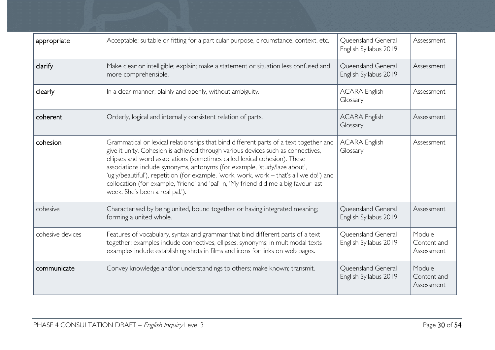| appropriate      | Acceptable; suitable or fitting for a particular purpose, circumstance, context, etc.                                                                                                                                                                                                                                                                                                                                                                                                                                                                     | <b>Oueensland General</b><br>English Syllabus 2019 | Assessment                          |
|------------------|-----------------------------------------------------------------------------------------------------------------------------------------------------------------------------------------------------------------------------------------------------------------------------------------------------------------------------------------------------------------------------------------------------------------------------------------------------------------------------------------------------------------------------------------------------------|----------------------------------------------------|-------------------------------------|
| clarify          | Make clear or intelligible; explain; make a statement or situation less confused and<br>more comprehensible.                                                                                                                                                                                                                                                                                                                                                                                                                                              | Queensland General<br>English Syllabus 2019        | Assessment                          |
| clearly          | In a clear manner; plainly and openly, without ambiguity.                                                                                                                                                                                                                                                                                                                                                                                                                                                                                                 | <b>ACARA English</b><br>Glossary                   | Assessment                          |
| coherent         | Orderly, logical and internally consistent relation of parts.                                                                                                                                                                                                                                                                                                                                                                                                                                                                                             | <b>ACARA English</b><br>Glossary                   | Assessment                          |
| cohesion         | Grammatical or lexical relationships that bind different parts of a text together and<br>give it unity. Cohesion is achieved through various devices such as connectives,<br>ellipses and word associations (sometimes called lexical cohesion). These<br>associations include synonyms, antonyms (for example, 'study/laze about',<br>'ugly/beautiful'), repetition (for example, 'work, work, work - that's all we do!') and<br>collocation (for example, 'friend' and 'pal' in, 'My friend did me a big favour last<br>week. She's been a real pal.'). | <b>ACARA English</b><br>Glossary                   | Assessment                          |
| cohesive         | Characterised by being united, bound together or having integrated meaning;<br>forming a united whole.                                                                                                                                                                                                                                                                                                                                                                                                                                                    | <b>Oueensland General</b><br>English Syllabus 2019 | Assessment                          |
| cohesive devices | Features of vocabulary, syntax and grammar that bind different parts of a text<br>together; examples include connectives, ellipses, synonyms; in multimodal texts<br>examples include establishing shots in films and icons for links on web pages.                                                                                                                                                                                                                                                                                                       | <b>Oueensland General</b><br>English Syllabus 2019 | Module<br>Content and<br>Assessment |
| communicate      | Convey knowledge and/or understandings to others; make known; transmit.                                                                                                                                                                                                                                                                                                                                                                                                                                                                                   | Queensland General<br>English Syllabus 2019        | Module<br>Content and<br>Assessment |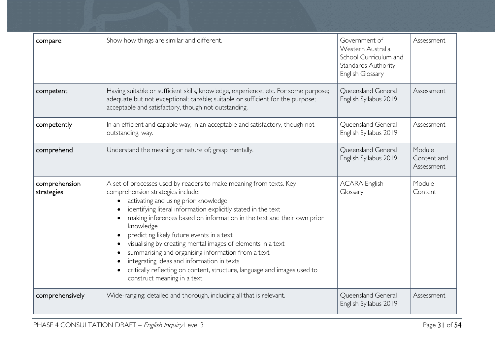| compare                     | Show how things are similar and different.                                                                                                                                                                                                                                                                                                                                                                                                                                                                                                                                                                                          | Government of<br>Western Australia<br>School Curriculum and<br>Standards Authority<br>English Glossary | Assessment                          |
|-----------------------------|-------------------------------------------------------------------------------------------------------------------------------------------------------------------------------------------------------------------------------------------------------------------------------------------------------------------------------------------------------------------------------------------------------------------------------------------------------------------------------------------------------------------------------------------------------------------------------------------------------------------------------------|--------------------------------------------------------------------------------------------------------|-------------------------------------|
| competent                   | Having suitable or sufficient skills, knowledge, experience, etc. For some purpose;<br>adequate but not exceptional; capable; suitable or sufficient for the purpose;<br>acceptable and satisfactory, though not outstanding.                                                                                                                                                                                                                                                                                                                                                                                                       | Queensland General<br>English Syllabus 2019                                                            | Assessment                          |
| competently                 | In an efficient and capable way, in an acceptable and satisfactory, though not<br>outstanding, way.                                                                                                                                                                                                                                                                                                                                                                                                                                                                                                                                 | <b>Oueensland General</b><br>English Syllabus 2019                                                     | Assessment                          |
| comprehend                  | Understand the meaning or nature of; grasp mentally.                                                                                                                                                                                                                                                                                                                                                                                                                                                                                                                                                                                | Queensland General<br>English Syllabus 2019                                                            | Module<br>Content and<br>Assessment |
| comprehension<br>strategies | A set of processes used by readers to make meaning from texts. Key<br>comprehension strategies include:<br>activating and using prior knowledge<br>identifying literal information explicitly stated in the text<br>making inferences based on information in the text and their own prior<br>knowledge<br>predicting likely future events in a text<br>visualising by creating mental images of elements in a text<br>summarising and organising information from a text<br>integrating ideas and information in texts<br>critically reflecting on content, structure, language and images used to<br>construct meaning in a text. | <b>ACARA English</b><br>Glossary                                                                       | Module<br>Content                   |
| comprehensively             | Wide-ranging; detailed and thorough, including all that is relevant.                                                                                                                                                                                                                                                                                                                                                                                                                                                                                                                                                                | Queensland General<br>English Syllabus 2019                                                            | Assessment                          |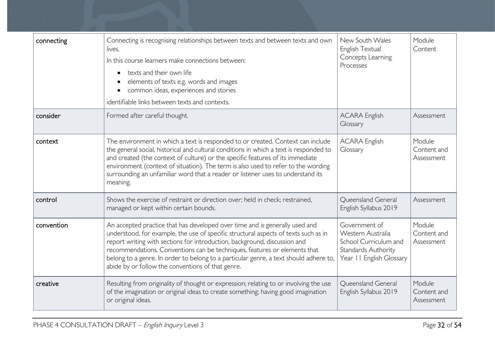| connecting | Connecting is recognising relationships between texts and between texts and own<br>lives.<br>In this course learners make connections between:<br>texts and their own life<br>$\bullet$<br>elements of texts e.g. words and images<br>common ideas, experiences and stories<br>identifiable links between texts and contexts.                                                                                                                                              | New South Wales<br>English Textual<br>Concepts Learning<br>Processes                                           | Module<br>Content                   |
|------------|----------------------------------------------------------------------------------------------------------------------------------------------------------------------------------------------------------------------------------------------------------------------------------------------------------------------------------------------------------------------------------------------------------------------------------------------------------------------------|----------------------------------------------------------------------------------------------------------------|-------------------------------------|
| consider   | Formed after careful thought.                                                                                                                                                                                                                                                                                                                                                                                                                                              | <b>ACARA English</b><br>Glossary                                                                               | Assessment                          |
| context    | The environment in which a text is responded to or created. Context can include<br>the general social, historical and cultural conditions in which a text is responded to<br>and created (the context of culture) or the specific features of its immediate<br>environment (context of situation). The term is also used to refer to the wording<br>surrounding an unfamiliar word that a reader or listener uses to understand its<br>meaning.                            | <b>ACARA English</b><br>Glossary                                                                               | Module<br>Content and<br>Assessment |
| control    | Shows the exercise of restraint or direction over; held in check; restrained,<br>managed or kept within certain bounds.                                                                                                                                                                                                                                                                                                                                                    | Queensland General<br>English Syllabus 2019                                                                    | Assessment                          |
| convention | An accepted practice that has developed over time and is generally used and<br>understood, for example, the use of specific structural aspects of texts such as in<br>report writing with sections for introduction, background, discussion and<br>recommendations. Conventions can be techniques, features or elements that<br>belong to a genre. In order to belong to a particular genre, a text should adhere to,<br>abide by or follow the conventions of that genre. | Government of<br>Western Australia<br>School Curriculum and<br>Standards Authority<br>Year II English Glossary | Module<br>Content and<br>Assessment |
| creative   | Resulting from originality of thought or expression; relating to or involving the use<br>of the imagination or original ideas to create something; having good imagination<br>or original ideas.                                                                                                                                                                                                                                                                           | <b>Oueensland General</b><br>English Syllabus 2019                                                             | Module<br>Content and<br>Assessment |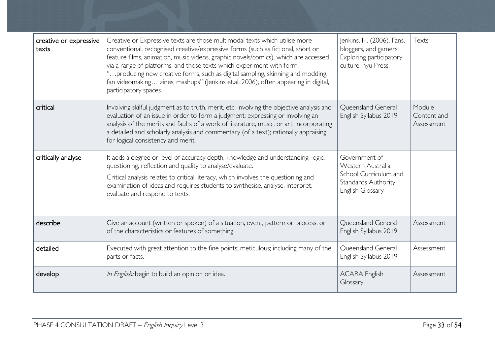| creative or expressive<br>texts | Creative or Expressive texts are those multimodal texts which utilise more<br>conventional, recognised creative/expressive forms (such as fictional, short or<br>feature films, animation, music videos, graphic novels/comics), which are accessed<br>via a range of platforms, and those texts which experiment with form,<br>'producing new creative forms, such as digital sampling, skinning and modding,<br>fan videomaking zines, mashups" (Jenkins et.al. 2006), often appearing in digital,<br>participatory spaces. | Jenkins, H. (2006). Fans,<br>bloggers, and gamers:<br>Exploring participatory<br>culture. nyu Press.   | Texts                               |
|---------------------------------|-------------------------------------------------------------------------------------------------------------------------------------------------------------------------------------------------------------------------------------------------------------------------------------------------------------------------------------------------------------------------------------------------------------------------------------------------------------------------------------------------------------------------------|--------------------------------------------------------------------------------------------------------|-------------------------------------|
| critical                        | Involving skilful judgment as to truth, merit, etc; involving the objective analysis and<br>evaluation of an issue in order to form a judgment; expressing or involving an<br>analysis of the merits and faults of a work of literature, music, or art; incorporating<br>a detailed and scholarly analysis and commentary (of a text); rationally appraising<br>for logical consistency and merit.                                                                                                                            | Queensland General<br>English Syllabus 2019                                                            | Module<br>Content and<br>Assessment |
| critically analyse              | It adds a degree or level of accuracy depth, knowledge and understanding, logic,<br>questioning, reflection and quality to analyse/evaluate.<br>Critical analysis relates to critical literacy, which involves the questioning and<br>examination of ideas and requires students to synthesise, analyse, interpret,<br>evaluate and respond to texts.                                                                                                                                                                         | Government of<br>Western Australia<br>School Curriculum and<br>Standards Authority<br>English Glossary |                                     |
| describe                        | Give an account (written or spoken) of a situation, event, pattern or process, or<br>of the characteristics or features of something.                                                                                                                                                                                                                                                                                                                                                                                         | Queensland General<br>English Syllabus 2019                                                            | Assessment                          |
| detailed                        | Executed with great attention to the fine points; meticulous; including many of the<br>parts or facts.                                                                                                                                                                                                                                                                                                                                                                                                                        | Queensland General<br>English Syllabus 2019                                                            | Assessment                          |
| develop                         | In English: begin to build an opinion or idea.                                                                                                                                                                                                                                                                                                                                                                                                                                                                                | <b>ACARA English</b><br>Glossary                                                                       | Assessment                          |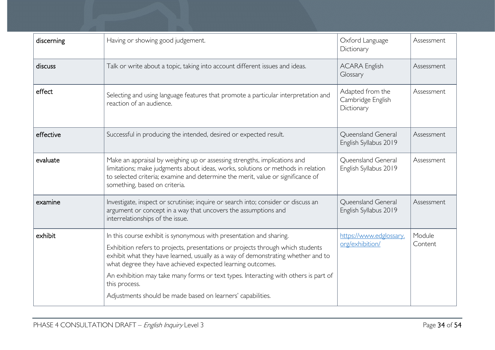| discerning | Having or showing good judgement.                                                                                                                                                                                                                                                                                                                                                                                                                                               | Oxford Language<br>Dictionary                       | Assessment        |
|------------|---------------------------------------------------------------------------------------------------------------------------------------------------------------------------------------------------------------------------------------------------------------------------------------------------------------------------------------------------------------------------------------------------------------------------------------------------------------------------------|-----------------------------------------------------|-------------------|
| discuss    | Talk or write about a topic, taking into account different issues and ideas.                                                                                                                                                                                                                                                                                                                                                                                                    | <b>ACARA English</b><br>Glossary                    | Assessment        |
| effect     | Selecting and using language features that promote a particular interpretation and<br>reaction of an audience.                                                                                                                                                                                                                                                                                                                                                                  | Adapted from the<br>Cambridge English<br>Dictionary | Assessment        |
| effective  | Successful in producing the intended, desired or expected result.                                                                                                                                                                                                                                                                                                                                                                                                               | Queensland General<br>English Syllabus 2019         | Assessment        |
| evaluate   | Make an appraisal by weighing up or assessing strengths, implications and<br>limitations; make judgments about ideas, works, solutions or methods in relation<br>to selected criteria; examine and determine the merit, value or significance of<br>something, based on criteria.                                                                                                                                                                                               | Queensland General<br>English Syllabus 2019         | Assessment        |
| examine    | Investigate, inspect or scrutinise; inquire or search into; consider or discuss an<br>argument or concept in a way that uncovers the assumptions and<br>interrelationships of the issue.                                                                                                                                                                                                                                                                                        | Queensland General<br>English Syllabus 2019         | Assessment        |
| exhibit    | In this course exhibit is synonymous with presentation and sharing.<br>Exhibition refers to projects, presentations or projects through which students<br>exhibit what they have learned, usually as a way of demonstrating whether and to<br>what degree they have achieved expected learning outcomes.<br>An exhibition may take many forms or text types. Interacting with others is part of<br>this process.<br>Adjustments should be made based on learners' capabilities. | https://www.edglossary.<br>org/exhibition/          | Module<br>Content |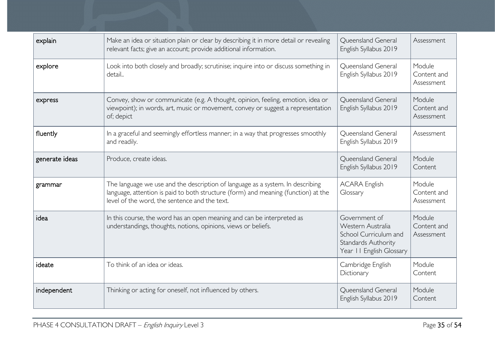| explain        | Make an idea or situation plain or clear by describing it in more detail or revealing<br>relevant facts; give an account; provide additional information.                                                             | Queensland General<br>English Syllabus 2019                                                                    | Assessment                          |
|----------------|-----------------------------------------------------------------------------------------------------------------------------------------------------------------------------------------------------------------------|----------------------------------------------------------------------------------------------------------------|-------------------------------------|
| explore        | Look into both closely and broadly; scrutinise; inquire into or discuss something in<br>detail                                                                                                                        | Queensland General<br>English Syllabus 2019                                                                    | Module<br>Content and<br>Assessment |
| express        | Convey, show or communicate (e.g. A thought, opinion, feeling, emotion, idea or<br>viewpoint); in words, art, music or movement, convey or suggest a representation<br>of; depict                                     | <b>Oueensland General</b><br>English Syllabus 2019                                                             | Module<br>Content and<br>Assessment |
| fluently       | In a graceful and seemingly effortless manner; in a way that progresses smoothly<br>and readily.                                                                                                                      | Queensland General<br>English Syllabus 2019                                                                    | Assessment                          |
| generate ideas | Produce, create ideas.                                                                                                                                                                                                | Queensland General<br>English Syllabus 2019                                                                    | Module<br>Content                   |
| grammar        | The language we use and the description of language as a system. In describing<br>language, attention is paid to both structure (form) and meaning (function) at the<br>level of the word, the sentence and the text. | <b>ACARA English</b><br>Glossary                                                                               | Module<br>Content and<br>Assessment |
| idea           | In this course, the word has an open meaning and can be interpreted as<br>understandings, thoughts, notions, opinions, views or beliefs.                                                                              | Government of<br>Western Australia<br>School Curriculum and<br>Standards Authority<br>Year II English Glossary | Module<br>Content and<br>Assessment |
| ideate         | To think of an idea or ideas.                                                                                                                                                                                         | Cambridge English<br>Dictionary                                                                                | Module<br>Content                   |
| independent    | Thinking or acting for oneself, not influenced by others.                                                                                                                                                             | Queensland General<br>English Syllabus 2019                                                                    | Module<br>Content                   |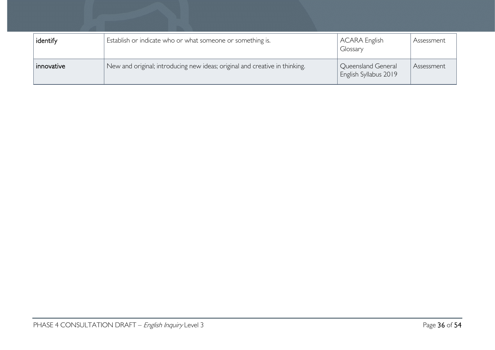| identify   | Establish or indicate who or what someone or something is.                  | ACARA English<br>Glossary                   | Assessment |
|------------|-----------------------------------------------------------------------------|---------------------------------------------|------------|
| innovative | New and original; introducing new ideas; original and creative in thinking. | Queensland General<br>English Syllabus 2019 | Assessment |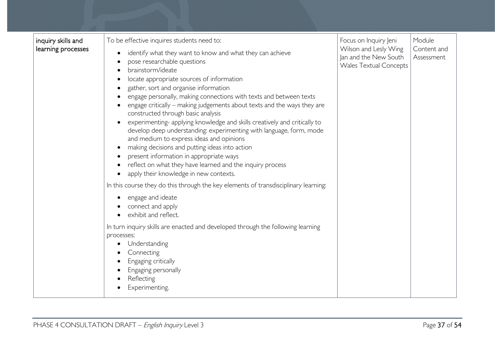| inquiry skills and<br>learning processes | To be effective inquires students need to:<br>identify what they want to know and what they can achieve<br>pose researchable questions<br>brainstorm/ideate<br>locate appropriate sources of information<br>gather, sort and organise information<br>engage personally, making connections with texts and between texts<br>engage critically – making judgements about texts and the ways they are<br>constructed through basic analysis<br>experimenting- applying knowledge and skills creatively and critically to<br>develop deep understanding: experimenting with language, form, mode<br>and medium to express ideas and opinions<br>making decisions and putting ideas into action<br>present information in appropriate ways<br>reflect on what they have learned and the inquiry process<br>apply their knowledge in new contexts.<br>In this course they do this through the key elements of transdisciplinary learning:<br>engage and ideate<br>connect and apply<br>exhibit and reflect. | Focus on Inquiry Jeni<br>Wilson and Lesly Wing<br>Jan and the New South<br><b>Wales Textual Concepts</b> | Module<br>Content and<br>Assessment |
|------------------------------------------|-------------------------------------------------------------------------------------------------------------------------------------------------------------------------------------------------------------------------------------------------------------------------------------------------------------------------------------------------------------------------------------------------------------------------------------------------------------------------------------------------------------------------------------------------------------------------------------------------------------------------------------------------------------------------------------------------------------------------------------------------------------------------------------------------------------------------------------------------------------------------------------------------------------------------------------------------------------------------------------------------------|----------------------------------------------------------------------------------------------------------|-------------------------------------|
|                                          | In turn inquiry skills are enacted and developed through the following learning<br>processes:<br>Understanding<br>Connecting<br>Engaging critically<br>Engaging personally<br>Reflecting<br>Experimenting.                                                                                                                                                                                                                                                                                                                                                                                                                                                                                                                                                                                                                                                                                                                                                                                            |                                                                                                          |                                     |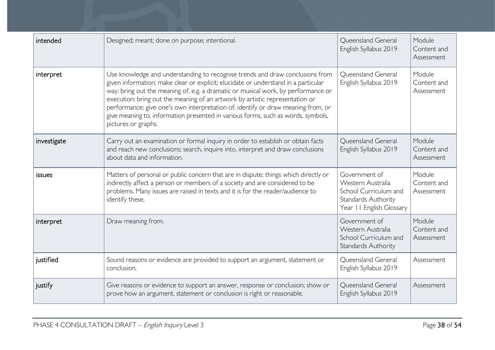| intended    | Designed; meant; done on purpose; intentional.                                                                                                                                                                                                                                                                                                                                                                                                                                                                                          | Queensland General<br>English Syllabus 2019                                                                    | Module<br>Content and<br>Assessment |
|-------------|-----------------------------------------------------------------------------------------------------------------------------------------------------------------------------------------------------------------------------------------------------------------------------------------------------------------------------------------------------------------------------------------------------------------------------------------------------------------------------------------------------------------------------------------|----------------------------------------------------------------------------------------------------------------|-------------------------------------|
| interpret   | Use knowledge and understanding to recognise trends and draw conclusions from<br>given information; make clear or explicit; elucidate or understand in a particular<br>way; bring out the meaning of, e.g. a dramatic or musical work, by performance or<br>execution; bring out the meaning of an artwork by artistic representation or<br>performance; give one's own interpretation of; identify or draw meaning from, or<br>give meaning to, information presented in various forms, such as words, symbols,<br>pictures or graphs. | Queensland General<br>English Syllabus 2019                                                                    | Module<br>Content and<br>Assessment |
| investigate | Carry out an examination or formal inquiry in order to establish or obtain facts<br>and reach new conclusions; search, inquire into, interpret and draw conclusions<br>about data and information.                                                                                                                                                                                                                                                                                                                                      | Queensland General<br>English Syllabus 2019                                                                    | Module<br>Content and<br>Assessment |
| issues      | Matters of personal or public concern that are in dispute; things which directly or<br>indirectly affect a person or members of a society and are considered to be<br>problems. Many issues are raised in texts and it is for the reader/audience to<br>identify these.                                                                                                                                                                                                                                                                 | Government of<br>Western Australia<br>School Curriculum and<br>Standards Authority<br>Year II English Glossary | Module<br>Content and<br>Assessment |
| interpret   | Draw meaning from.                                                                                                                                                                                                                                                                                                                                                                                                                                                                                                                      | Government of<br>Western Australia<br>School Curriculum and<br>Standards Authority                             | Module<br>Content and<br>Assessment |
| justified   | Sound reasons or evidence are provided to support an argument, statement or<br>conclusion.                                                                                                                                                                                                                                                                                                                                                                                                                                              | Queensland General<br>English Syllabus 2019                                                                    | Assessment                          |
| justify     | Give reasons or evidence to support an answer, response or conclusion; show or<br>prove how an argument, statement or conclusion is right or reasonable.                                                                                                                                                                                                                                                                                                                                                                                | Queensland General<br>English Syllabus 2019                                                                    | Assessment                          |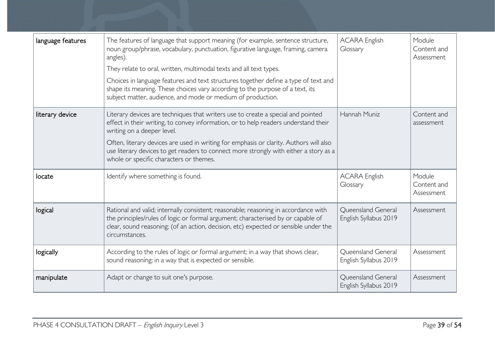| language features | The features of language that support meaning (for example, sentence structure,<br>noun group/phrase, vocabulary, punctuation, figurative language, framing, camera<br>angles).<br>They relate to oral, written, multimodal texts and all text types.<br>Choices in language features and text structures together define a type of text and<br>shape its meaning. These choices vary according to the purpose of a text, its<br>subject matter, audience, and mode or medium of production. | <b>ACARA English</b><br>Glossary            | Module<br>Content and<br>Assessment |
|-------------------|----------------------------------------------------------------------------------------------------------------------------------------------------------------------------------------------------------------------------------------------------------------------------------------------------------------------------------------------------------------------------------------------------------------------------------------------------------------------------------------------|---------------------------------------------|-------------------------------------|
| literary device   | Literary devices are techniques that writers use to create a special and pointed<br>effect in their writing, to convey information, or to help readers understand their<br>writing on a deeper level.<br>Often, literary devices are used in writing for emphasis or clarity. Authors will also<br>use literary devices to get readers to connect more strongly with either a story as a<br>whole or specific characters or themes.                                                          | Hannah Muniz                                | Content and<br>assessment           |
| locate            | Identify where something is found.                                                                                                                                                                                                                                                                                                                                                                                                                                                           | <b>ACARA English</b><br>Glossary            | Module<br>Content and<br>Assessment |
| logical           | Rational and valid; internally consistent; reasonable; reasoning in accordance with<br>the principles/rules of logic or formal argument; characterised by or capable of<br>clear, sound reasoning; (of an action, decision, etc) expected or sensible under the<br>circumstances.                                                                                                                                                                                                            | Queensland General<br>English Syllabus 2019 | Assessment                          |
| logically         | According to the rules of logic or formal argument; in a way that shows clear,<br>sound reasoning; in a way that is expected or sensible.                                                                                                                                                                                                                                                                                                                                                    | Queensland General<br>English Syllabus 2019 | Assessment                          |
| manipulate        | Adapt or change to suit one's purpose.                                                                                                                                                                                                                                                                                                                                                                                                                                                       | Queensland General<br>English Syllabus 2019 | Assessment                          |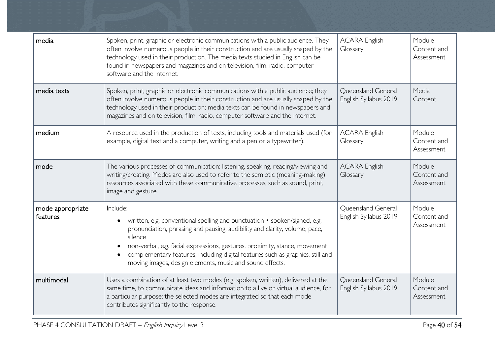| media                        | Spoken, print, graphic or electronic communications with a public audience. They<br>often involve numerous people in their construction and are usually shaped by the<br>technology used in their production. The media texts studied in English can be<br>found in newspapers and magazines and on television, film, radio, computer<br>software and the internet.                                        | <b>ACARA English</b><br>Glossary            | Module<br>Content and<br>Assessment |
|------------------------------|------------------------------------------------------------------------------------------------------------------------------------------------------------------------------------------------------------------------------------------------------------------------------------------------------------------------------------------------------------------------------------------------------------|---------------------------------------------|-------------------------------------|
| media texts                  | Spoken, print, graphic or electronic communications with a public audience; they<br>often involve numerous people in their construction and are usually shaped by the<br>technology used in their production; media texts can be found in newspapers and<br>magazines and on television, film, radio, computer software and the internet.                                                                  | Queensland General<br>English Syllabus 2019 | Media<br>Content                    |
| medium                       | A resource used in the production of texts, including tools and materials used (for<br>example, digital text and a computer, writing and a pen or a typewriter).                                                                                                                                                                                                                                           | <b>ACARA English</b><br>Glossary            | Module<br>Content and<br>Assessment |
| mode                         | The various processes of communication: listening, speaking, reading/viewing and<br>writing/creating. Modes are also used to refer to the semiotic (meaning-making)<br>resources associated with these communicative processes, such as sound, print,<br>image and gesture.                                                                                                                                | <b>ACARA English</b><br>Glossary            | Module<br>Content and<br>Assessment |
| mode appropriate<br>features | Include:<br>written, e.g. conventional spelling and punctuation • spoken/signed, e.g.<br>pronunciation, phrasing and pausing, audibility and clarity, volume, pace,<br>silence<br>non-verbal, e.g. facial expressions, gestures, proximity, stance, movement<br>complementary features, including digital features such as graphics, still and<br>moving images, design elements, music and sound effects. | Queensland General<br>English Syllabus 2019 | Module<br>Content and<br>Assessment |
| multimodal                   | Uses a combination of at least two modes (e.g. spoken, written), delivered at the<br>same time, to communicate ideas and information to a live or virtual audience, for<br>a particular purpose; the selected modes are integrated so that each mode<br>contributes significantly to the response.                                                                                                         | Queensland General<br>English Syllabus 2019 | Module<br>Content and<br>Assessment |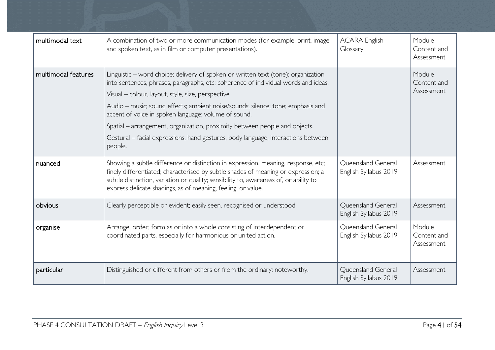| multimodal text     | A combination of two or more communication modes (for example, print, image<br>and spoken text, as in film or computer presentations).                                                                                                                                                                                                                                                                                                                                                                                                                | <b>ACARA English</b><br>Glossary            | Module<br>Content and<br>Assessment |
|---------------------|-------------------------------------------------------------------------------------------------------------------------------------------------------------------------------------------------------------------------------------------------------------------------------------------------------------------------------------------------------------------------------------------------------------------------------------------------------------------------------------------------------------------------------------------------------|---------------------------------------------|-------------------------------------|
| multimodal features | Linguistic – word choice; delivery of spoken or written text (tone); organization<br>into sentences, phrases, paragraphs, etc; coherence of individual words and ideas.<br>Visual - colour, layout, style, size, perspective<br>Audio - music; sound effects; ambient noise/sounds; silence; tone; emphasis and<br>accent of voice in spoken language; volume of sound.<br>Spatial – arrangement, organization, proximity between people and objects.<br>Gestural - facial expressions, hand gestures, body language, interactions between<br>people. |                                             | Module<br>Content and<br>Assessment |
| nuanced             | Showing a subtle difference or distinction in expression, meaning, response, etc;<br>finely differentiated; characterised by subtle shades of meaning or expression; a<br>subtle distinction, variation or quality; sensibility to, awareness of, or ability to<br>express delicate shadings, as of meaning, feeling, or value.                                                                                                                                                                                                                       | Queensland General<br>English Syllabus 2019 | Assessment                          |
| obvious             | Clearly perceptible or evident; easily seen, recognised or understood.                                                                                                                                                                                                                                                                                                                                                                                                                                                                                | Queensland General<br>English Syllabus 2019 | Assessment                          |
| organise            | Arrange, order; form as or into a whole consisting of interdependent or<br>coordinated parts, especially for harmonious or united action.                                                                                                                                                                                                                                                                                                                                                                                                             | Queensland General<br>English Syllabus 2019 | Module<br>Content and<br>Assessment |
| particular          | Distinguished or different from others or from the ordinary; noteworthy.                                                                                                                                                                                                                                                                                                                                                                                                                                                                              | Queensland General<br>English Syllabus 2019 | Assessment                          |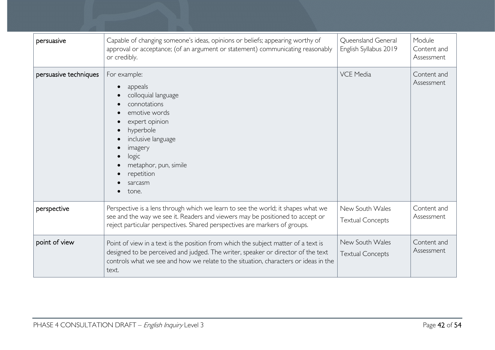| persuasive            | Capable of changing someone's ideas, opinions or beliefs; appearing worthy of<br>approval or acceptance; (of an argument or statement) communicating reasonably<br>or credibly.                                                                                        | Queensland General<br>English Syllabus 2019 | Module<br>Content and<br>Assessment |
|-----------------------|------------------------------------------------------------------------------------------------------------------------------------------------------------------------------------------------------------------------------------------------------------------------|---------------------------------------------|-------------------------------------|
| persuasive techniques | For example:<br>appeals<br>$\bullet$<br>colloquial language<br>connotations<br>emotive words<br>expert opinion<br>hyperbole<br>inclusive language<br>imagery<br>logic<br>metaphor, pun, simile<br>repetition<br>sarcasm<br>tone.                                       | <b>VCE Media</b>                            | Content and<br>Assessment           |
| perspective           | Perspective is a lens through which we learn to see the world; it shapes what we<br>see and the way we see it. Readers and viewers may be positioned to accept or<br>reject particular perspectives. Shared perspectives are markers of groups.                        | New South Wales<br><b>Textual Concepts</b>  | Content and<br>Assessment           |
| point of view         | Point of view in a text is the position from which the subject matter of a text is<br>designed to be perceived and judged. The writer, speaker or director of the text<br>controls what we see and how we relate to the situation, characters or ideas in the<br>text. | New South Wales<br><b>Textual Concepts</b>  | Content and<br>Assessment           |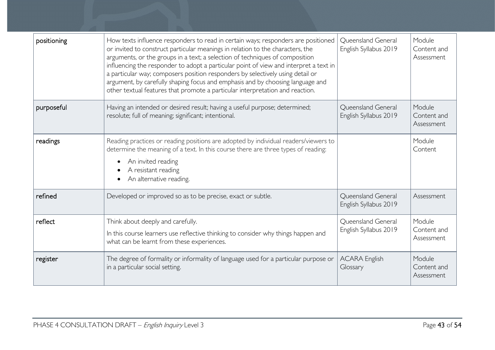| positioning | How texts influence responders to read in certain ways; responders are positioned<br>or invited to construct particular meanings in relation to the characters, the<br>arguments, or the groups in a text; a selection of techniques of composition<br>influencing the responder to adopt a particular point of view and interpret a text in<br>a particular way; composers position responders by selectively using detail or<br>argument, by carefully shaping focus and emphasis and by choosing language and<br>other textual features that promote a particular interpretation and reaction. | <b>Oueensland General</b><br>English Syllabus 2019 | Module<br>Content and<br>Assessment |
|-------------|---------------------------------------------------------------------------------------------------------------------------------------------------------------------------------------------------------------------------------------------------------------------------------------------------------------------------------------------------------------------------------------------------------------------------------------------------------------------------------------------------------------------------------------------------------------------------------------------------|----------------------------------------------------|-------------------------------------|
| purposeful  | Having an intended or desired result; having a useful purpose; determined;<br>resolute; full of meaning; significant; intentional.                                                                                                                                                                                                                                                                                                                                                                                                                                                                | <b>Oueensland General</b><br>English Syllabus 2019 | Module<br>Content and<br>Assessment |
| readings    | Reading practices or reading positions are adopted by individual readers/viewers to<br>determine the meaning of a text. In this course there are three types of reading:<br>An invited reading<br>A resistant reading<br>An alternative reading.                                                                                                                                                                                                                                                                                                                                                  |                                                    | Module<br>Content                   |
| refined     | Developed or improved so as to be precise, exact or subtle.                                                                                                                                                                                                                                                                                                                                                                                                                                                                                                                                       | Queensland General<br>English Syllabus 2019        | Assessment                          |
| reflect     | Think about deeply and carefully.<br>In this course learners use reflective thinking to consider why things happen and<br>what can be learnt from these experiences.                                                                                                                                                                                                                                                                                                                                                                                                                              | Queensland General<br>English Syllabus 2019        | Module<br>Content and<br>Assessment |
| register    | The degree of formality or informality of language used for a particular purpose or<br>in a particular social setting.                                                                                                                                                                                                                                                                                                                                                                                                                                                                            | <b>ACARA English</b><br>Glossary                   | Module<br>Content and<br>Assessment |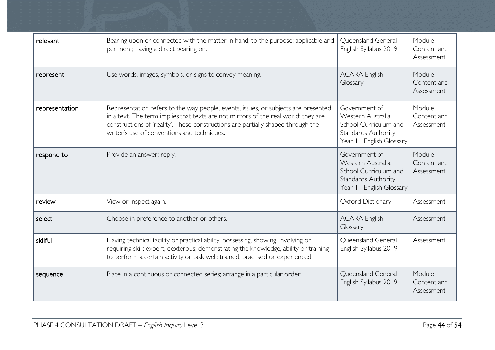| relevant       | Bearing upon or connected with the matter in hand; to the purpose; applicable and<br>pertinent; having a direct bearing on.                                                                                                                                                                                 | <b>Oueensland General</b><br>English Syllabus 2019                                                                    | Module<br>Content and<br>Assessment |
|----------------|-------------------------------------------------------------------------------------------------------------------------------------------------------------------------------------------------------------------------------------------------------------------------------------------------------------|-----------------------------------------------------------------------------------------------------------------------|-------------------------------------|
| represent      | Use words, images, symbols, or signs to convey meaning.                                                                                                                                                                                                                                                     | <b>ACARA English</b><br>Glossary                                                                                      | Module<br>Content and<br>Assessment |
| representation | Representation refers to the way people, events, issues, or subjects are presented<br>in a text. The term implies that texts are not mirrors of the real world; they are<br>constructions of 'reality'. These constructions are partially shaped through the<br>writer's use of conventions and techniques. | Government of<br>Western Australia<br>School Curriculum and<br>Standards Authority<br>Year II English Glossary        | Module<br>Content and<br>Assessment |
| respond to     | Provide an answer; reply.                                                                                                                                                                                                                                                                                   | Government of<br>Western Australia<br>School Curriculum and<br><b>Standards Authority</b><br>Year II English Glossary | Module<br>Content and<br>Assessment |
| review         | View or inspect again.                                                                                                                                                                                                                                                                                      | Oxford Dictionary                                                                                                     | Assessment                          |
| select         | Choose in preference to another or others.                                                                                                                                                                                                                                                                  | <b>ACARA English</b><br>Glossary                                                                                      | Assessment                          |
| skilful        | Having technical facility or practical ability; possessing, showing, involving or<br>requiring skill; expert, dexterous; demonstrating the knowledge, ability or training<br>to perform a certain activity or task well; trained, practised or experienced.                                                 | Queensland General<br>English Syllabus 2019                                                                           | Assessment                          |
| sequence       | Place in a continuous or connected series; arrange in a particular order.                                                                                                                                                                                                                                   | Queensland General<br>English Syllabus 2019                                                                           | Module<br>Content and<br>Assessment |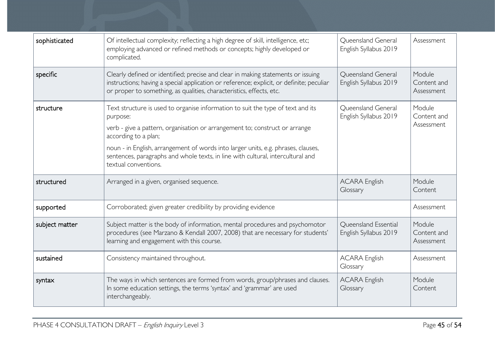| sophisticated  | Of intellectual complexity; reflecting a high degree of skill, intelligence, etc;<br>employing advanced or refined methods or concepts; highly developed or<br>complicated.                                                                                                                                                                                                                        | Queensland General<br>English Syllabus 2019   | Assessment                          |
|----------------|----------------------------------------------------------------------------------------------------------------------------------------------------------------------------------------------------------------------------------------------------------------------------------------------------------------------------------------------------------------------------------------------------|-----------------------------------------------|-------------------------------------|
| specific       | Clearly defined or identified; precise and clear in making statements or issuing<br>instructions; having a special application or reference; explicit, or definite; peculiar<br>or proper to something, as qualities, characteristics, effects, etc.                                                                                                                                               | Queensland General<br>English Syllabus 2019   | Module<br>Content and<br>Assessment |
| structure      | Text structure is used to organise information to suit the type of text and its<br>purpose:<br>verb - give a pattern, organisation or arrangement to; construct or arrange<br>according to a plan;<br>noun - in English, arrangement of words into larger units, e.g. phrases, clauses,<br>sentences, paragraphs and whole texts, in line with cultural, intercultural and<br>textual conventions. | Queensland General<br>English Syllabus 2019   | Module<br>Content and<br>Assessment |
| structured     | Arranged in a given, organised sequence.                                                                                                                                                                                                                                                                                                                                                           | <b>ACARA English</b><br>Glossary              | Module<br>Content                   |
| supported      | Corroborated; given greater credibility by providing evidence                                                                                                                                                                                                                                                                                                                                      |                                               | Assessment                          |
| subject matter | Subject matter is the body of information, mental procedures and psychomotor<br>procedures (see Marzano & Kendall 2007, 2008) that are necessary for students'<br>learning and engagement with this course.                                                                                                                                                                                        | Queensland Essential<br>English Syllabus 2019 | Module<br>Content and<br>Assessment |
| sustained      | Consistency maintained throughout.                                                                                                                                                                                                                                                                                                                                                                 | <b>ACARA English</b><br>Glossary              | Assessment                          |
| syntax         | The ways in which sentences are formed from words, group/phrases and clauses.<br>In some education settings, the terms 'syntax' and 'grammar' are used<br>interchangeably.                                                                                                                                                                                                                         | <b>ACARA English</b><br>Glossary              | Module<br>Content                   |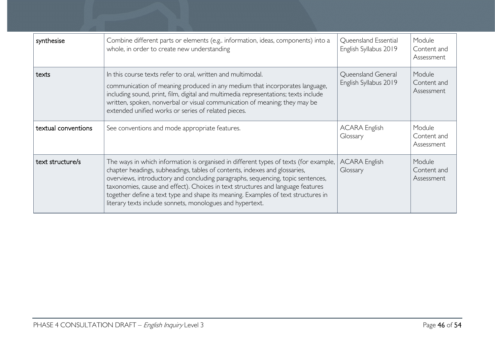| synthesise          | Combine different parts or elements (e.g. information, ideas, components) into a<br>whole, in order to create new understanding                                                                                                                                                                                                                                                                                                                                                            | Queensland Essential<br>English Syllabus 2019 | Module<br>Content and<br>Assessment |
|---------------------|--------------------------------------------------------------------------------------------------------------------------------------------------------------------------------------------------------------------------------------------------------------------------------------------------------------------------------------------------------------------------------------------------------------------------------------------------------------------------------------------|-----------------------------------------------|-------------------------------------|
| texts               | In this course texts refer to oral, written and multimodal.<br>communication of meaning produced in any medium that incorporates language,<br>including sound, print, film, digital and multimedia representations; texts include<br>written, spoken, nonverbal or visual communication of meaning; they may be<br>extended unified works or series of related pieces.                                                                                                                     | Queensland General<br>English Syllabus 2019   | Module<br>Content and<br>Assessment |
| textual conventions | See conventions and mode appropriate features.                                                                                                                                                                                                                                                                                                                                                                                                                                             | <b>ACARA English</b><br>Glossary              | Module<br>Content and<br>Assessment |
| text structure/s    | The ways in which information is organised in different types of texts (for example,<br>chapter headings, subheadings, tables of contents, indexes and glossaries,<br>overviews, introductory and concluding paragraphs, sequencing, topic sentences,<br>taxonomies, cause and effect). Choices in text structures and language features<br>together define a text type and shape its meaning. Examples of text structures in<br>literary texts include sonnets, monologues and hypertext. | <b>ACARA English</b><br>Glossary              | Module<br>Content and<br>Assessment |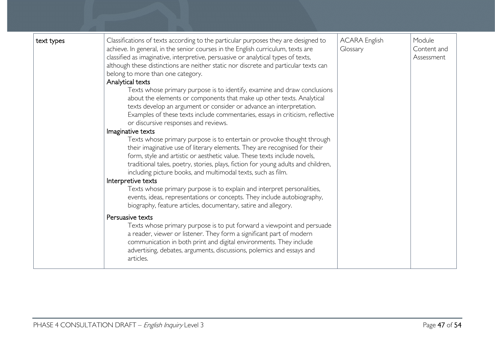| text types | Classifications of texts according to the particular purposes they are designed to<br>achieve. In general, in the senior courses in the English curriculum, texts are<br>classified as imaginative, interpretive, persuasive or analytical types of texts,<br>although these distinctions are neither static nor discrete and particular texts can<br>belong to more than one category.<br>Analytical texts<br>Texts whose primary purpose is to identify, examine and draw conclusions<br>about the elements or components that make up other texts. Analytical<br>texts develop an argument or consider or advance an interpretation.<br>Examples of these texts include commentaries, essays in criticism, reflective<br>or discursive responses and reviews.<br>Imaginative texts<br>Texts whose primary purpose is to entertain or provoke thought through<br>their imaginative use of literary elements. They are recognised for their<br>form, style and artistic or aesthetic value. These texts include novels,<br>traditional tales, poetry, stories, plays, fiction for young adults and children,<br>including picture books, and multimodal texts, such as film.<br>Interpretive texts<br>Texts whose primary purpose is to explain and interpret personalities,<br>events, ideas, representations or concepts. They include autobiography,<br>biography, feature articles, documentary, satire and allegory. | <b>ACARA English</b><br>Glossary | Module<br>Content and<br>Assessment |
|------------|----------------------------------------------------------------------------------------------------------------------------------------------------------------------------------------------------------------------------------------------------------------------------------------------------------------------------------------------------------------------------------------------------------------------------------------------------------------------------------------------------------------------------------------------------------------------------------------------------------------------------------------------------------------------------------------------------------------------------------------------------------------------------------------------------------------------------------------------------------------------------------------------------------------------------------------------------------------------------------------------------------------------------------------------------------------------------------------------------------------------------------------------------------------------------------------------------------------------------------------------------------------------------------------------------------------------------------------------------------------------------------------------------------------------------|----------------------------------|-------------------------------------|
|            | Persuasive texts<br>Texts whose primary purpose is to put forward a viewpoint and persuade<br>a reader, viewer or listener. They form a significant part of modern<br>communication in both print and digital environments. They include<br>advertising, debates, arguments, discussions, polemics and essays and<br>articles.                                                                                                                                                                                                                                                                                                                                                                                                                                                                                                                                                                                                                                                                                                                                                                                                                                                                                                                                                                                                                                                                                             |                                  |                                     |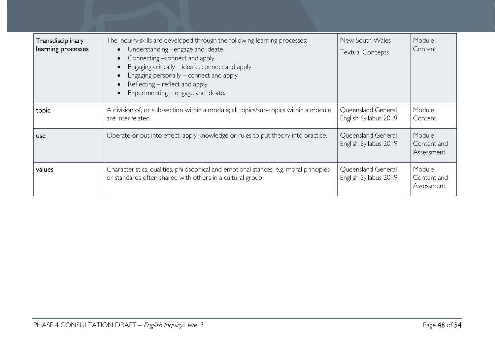| Transdisciplinary<br>learning processes | The inquiry skills are developed through the following learning processes:<br>Understanding - engage and ideate<br>Connecting -connect and apply<br>Engaging critically – ideate, connect and apply<br>Engaging personally – connect and apply<br>Reflecting – reflect and apply<br>Experimenting – engage and ideate. | New South Wales<br><b>Textual Concepts</b>  | Module<br>Content                   |
|-----------------------------------------|------------------------------------------------------------------------------------------------------------------------------------------------------------------------------------------------------------------------------------------------------------------------------------------------------------------------|---------------------------------------------|-------------------------------------|
| topic                                   | A division of, or sub-section within a module; all topics/sub-topics within a module<br>are interrelated.                                                                                                                                                                                                              | Queensland General<br>English Syllabus 2019 | Module<br>Content                   |
| use.                                    | Operate or put into effect; apply knowledge or rules to put theory into practice.                                                                                                                                                                                                                                      | Queensland General<br>English Syllabus 2019 | Module<br>Content and<br>Assessment |
| values                                  | Characteristics, qualities, philosophical and emotional stances, e.g. moral principles<br>or standards often shared with others in a cultural group                                                                                                                                                                    | Queensland General<br>English Syllabus 2019 | Module<br>Content and<br>Assessment |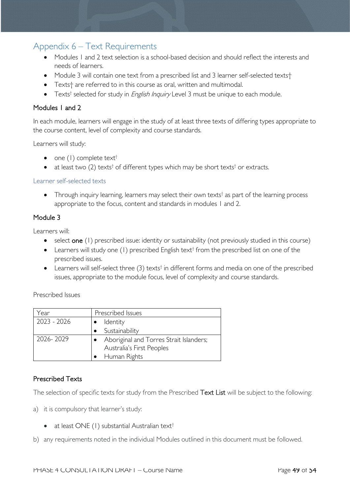# <span id="page-48-0"></span>Appendix 6 – Text Requirements

- Modules 1 and 2 text selection is a school-based decision and should reflect the interests and needs of learners.
- Module 3 will contain one text from a prescribed list and 3 learner self-selected texts†
- Texts† are referred to in this course as oral, written and multimodal.
- Texts<sup>†</sup> selected for study in *English Inquiry* Level 3 must be unique to each module.

### Modules 1 and 2

In each module, learners will engage in the study of at least three texts of differing types appropriate to the course content, level of complexity and course standards.

Learners will study:

- one  $(1)$  complete text<sup>†</sup>
- at least two (2) texts<sup>†</sup> of different types which may be short texts<sup>†</sup> or extracts.

### Learner self-selected texts

• Through inquiry learning, learners may select their own texts<sup>†</sup> as part of the learning process appropriate to the focus, content and standards in modules 1 and 2.

### Module 3

Learners will:

- select one (1) prescribed issue: identity or sustainability (not previously studied in this course)
- Learners will study one (1) prescribed English text<sup>†</sup> from the prescribed list on one of the prescribed issues.
- Learners will self-select three  $(3)$  texts<sup>†</sup> in different forms and media on one of the prescribed issues, appropriate to the module focus, level of complexity and course standards.

Prescribed Issues

| rear)       | Prescribed Issues                                                    |  |
|-------------|----------------------------------------------------------------------|--|
| 2023 - 2026 | Identity                                                             |  |
|             | Sustainability                                                       |  |
| 2026-2029   | Aboriginal and Torres Strait Islanders;<br>Australia's First Peoples |  |
|             | Human Rights                                                         |  |

### Prescribed Texts

The selection of specific texts for study from the Prescribed Text List will be subject to the following:

- a) it is compulsory that learner's study:
	- at least ONE (1) substantial Australian text<sup>†</sup>
- b) any requirements noted in the individual Modules outlined in this document must be followed.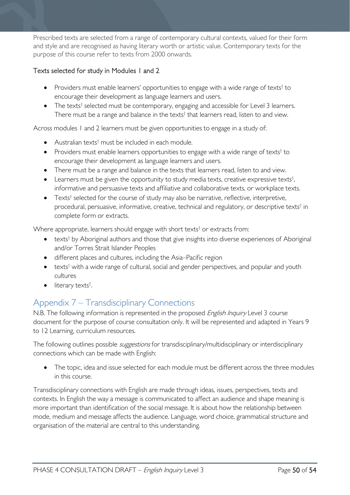Prescribed texts are selected from a range of contemporary cultural contexts, valued for their form and style and are recognised as having literary worth or artistic value. Contemporary texts for the purpose of this course refer to texts from 2000 onwards.

### Texts selected for study in Modules 1 and 2

- Providers must enable learners' opportunities to engage with a wide range of texts<sup>†</sup> to encourage their development as language learners and users.
- The texts<sup>†</sup> selected must be contemporary, engaging and accessible for Level 3 learners. There must be a range and balance in the texts<sup>†</sup> that learners read, listen to and view.

Across modules 1 and 2 learners must be given opportunities to engage in a study of:

- Australian texts<sup>†</sup> must be included in each module.
- Providers must enable learners opportunities to engage with a wide range of texts<sup>†</sup> to encourage their development as language learners and users.
- There must be a range and balance in the texts that learners read, listen to and view.
- Learners must be given the opportunity to study media texts, creative expressive texts<sup>†</sup>, informative and persuasive texts and affiliative and collaborative texts, or workplace texts.
- Texts<sup>†</sup> selected for the course of study may also be narrative, reflective, interpretive, procedural, persuasive, informative, creative, technical and regulatory, or descriptive texts† in complete form or extracts.

Where appropriate, learners should engage with short texts<sup>†</sup> or extracts from:

- texts<sup>†</sup> by Aboriginal authors and those that give insights into diverse experiences of Aboriginal and/or Torres Strait Islander Peoples
- different places and cultures, including the Asia–Pacific region
- texts<sup>†</sup> with a wide range of cultural, social and gender perspectives, and popular and youth cultures
- literary texts<sup>†</sup>. .

# <span id="page-49-0"></span>Appendix 7 – Transdisciplinary Connections

N.B. The following information is represented in the proposed *English Inquiry* Level 3 course document for the purpose of course consultation only. It will be represented and adapted in Years 9 to 12 Learning, curriculum resources.

The following outlines possible *suggestions* for transdisciplinary/multidisciplinary or interdisciplinary connections which can be made with English:

The topic, idea and issue selected for each module must be different across the three modules in this course.

Transdisciplinary connections with English are made through ideas, issues, perspectives, texts and contexts. In English the way a message is communicated to affect an audience and shape meaning is more important than identification of the social message. It is about how the relationship between mode, medium and message affects the audience. Language, word choice, grammatical structure and organisation of the material are central to this understanding.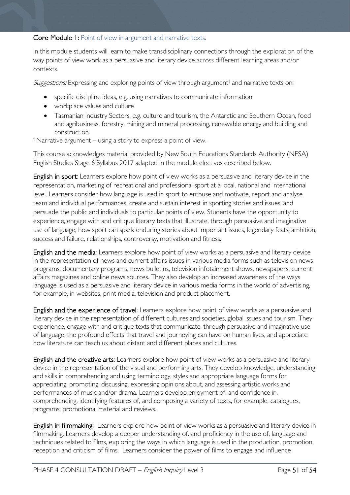### Core Module 1: Point of view in argument and narrative texts.

In this module students will learn to make transdisciplinary connections through the exploration of the way points of view work as a persuasive and literary device across different learning areas and/or contexts.

Suggestions: Expressing and exploring points of view through argument<sup>†</sup> and narrative texts on:

- specific discipline ideas, e.g. using narratives to communicate information
- workplace values and culture
- Tasmanian Industry Sectors, e.g. culture and tourism, the Antarctic and Southern Ocean, food and agribusiness, forestry, mining and mineral processing, renewable energy and building and construction.

†Narrative argument – using a story to express a point of view.

This course acknowledges material provided by New South Educations Standards Authority (NESA) English Studies Stage 6 Syllabus 2017 adapted in the module electives described below.

English in sport: Learners explore how point of view works as a persuasive and literary device in the representation, marketing of recreational and professional sport at a local, national and international level. Learners consider how language is used in sport to enthuse and motivate, report and analyse team and individual performances, create and sustain interest in sporting stories and issues, and persuade the public and individuals to particular points of view. Students have the opportunity to experience, engage with and critique literary texts that illustrate, through persuasive and imaginative use of language, how sport can spark enduring stories about important issues, legendary feats, ambition, success and failure, relationships, controversy, motivation and fitness.

English and the media: Learners explore how point of view works as a persuasive and literary device in the representation of news and current affairs issues in various media forms such as television news programs, documentary programs, news bulletins, television infotainment shows, newspapers, current affairs magazines and online news sources. They also develop an increased awareness of the ways language is used as a persuasive and literary device in various media forms in the world of advertising, for example, in websites, print media, television and product placement.

English and the experience of travel: Learners explore how point of view works as a persuasive and literary device in the representation of different cultures and societies, global issues and tourism. They experience, engage with and critique texts that communicate, through persuasive and imaginative use of language, the profound effects that travel and journeying can have on human lives, and appreciate how literature can teach us about distant and different places and cultures.

English and the creative arts: Learners explore how point of view works as a persuasive and literary device in the representation of the visual and performing arts. They develop knowledge, understanding and skills in comprehending and using terminology, styles and appropriate language forms for appreciating, promoting, discussing, expressing opinions about, and assessing artistic works and performances of music and/or drama. Learners develop enjoyment of, and confidence in, comprehending, identifying features of, and composing a variety of texts, for example, catalogues, programs, promotional material and reviews.

English in filmmaking: Learners explore how point of view works as a persuasive and literary device in filmmaking. Learners develop a deeper understanding of. and proficiency in the use of, language and techniques related to films, exploring the ways in which language is used in the production, promotion, reception and criticism of films. Learners consider the power of films to engage and influence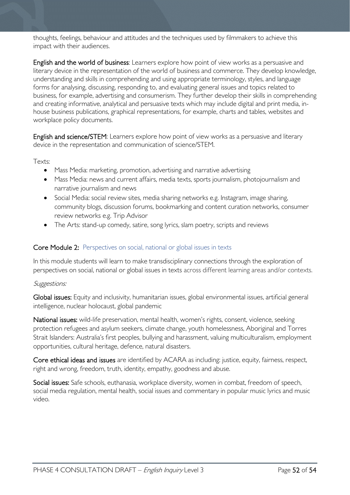thoughts, feelings, behaviour and attitudes and the techniques used by filmmakers to achieve this impact with their audiences.

English and the world of business: Learners explore how point of view works as a persuasive and literary device in the representation of the world of business and commerce. They develop knowledge, understanding and skills in comprehending and using appropriate terminology, styles, and language forms for analysing, discussing, responding to, and evaluating general issues and topics related to business, for example, advertising and consumerism. They further develop their skills in comprehending and creating informative, analytical and persuasive texts which may include digital and print media, inhouse business publications, graphical representations, for example, charts and tables, websites and workplace policy documents.

English and science/STEM: Learners explore how point of view works as a persuasive and literary device in the representation and communication of science/STEM.

Texts:

- Mass Media: marketing, promotion, advertising and narrative advertising
- Mass Media: news and current affairs, media texts, sports journalism, photojournalism and narrative journalism and news
- Social Media: social review sites, media sharing networks e.g. Instagram, image sharing, community blogs, discussion forums, bookmarking and content curation networks, consumer review networks e.g. Trip Advisor
- The Arts: stand-up comedy, satire, song lyrics, slam poetry, scripts and reviews

### Core Module 2: Perspectives on social, national or global issues in texts

In this module students will learn to make transdisciplinary connections through the exploration of perspectives on social, national or global issues in texts across different learning areas and/or contexts.

### Suggestions:

Global issues: Equity and inclusivity, humanitarian issues, global environmental issues, artificial general intelligence, nuclear holocaust, global pandemic

National issues: wild-life preservation, mental health, women's rights, consent, violence, seeking protection refugees and asylum seekers, climate change, youth homelessness, Aboriginal and Torres Strait Islanders: Australia's first peoples, bullying and harassment, valuing multiculturalism, employment opportunities, cultural heritage, defence, natural disasters.

Core ethical ideas and issues are identified by ACARA as including: justice, equity, fairness, respect, right and wrong, freedom, truth, identity, empathy, goodness and abuse.

Social issues: Safe schools, euthanasia, workplace diversity, women in combat, freedom of speech, social media regulation, mental health, social issues and commentary in popular music lyrics and music video.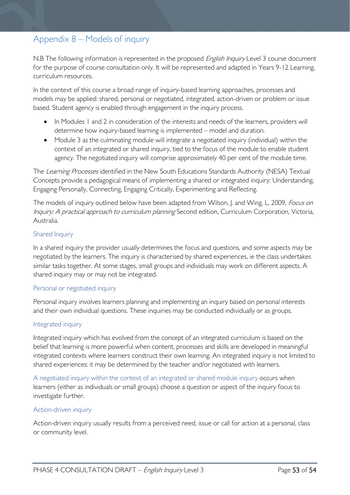# <span id="page-52-0"></span>Appendix 8 – Models of inquiry

N.B The following information is represented in the proposed *English Inquiry* Level 3 course document for the purpose of course consultation only. It will be represented and adapted in Years 9-12 Learning, curriculum resources.

In the context of this course a broad range of inquiry-based learning approaches, processes and models may be applied: shared, personal or negotiated, integrated, action-driven or problem or issue based. Student agency is enabled through engagement in the inquiry process.

- In Modules 1 and 2 in consideration of the interests and needs of the learners, providers will determine how inquiry-based learning is implemented – model and duration.
- Module 3 as the culminating module will integrate a negotiated inquiry (individual) within the context of an integrated or shared inquiry, tied to the focus of the module to enable student agency. The negotiated inquiry will comprise approximately 40 per cent of the module time.

The Learning Processes identified in the New South Educations Standards Authority (NESA) Textual Concepts provide a pedagogical means of implementing a shared or integrated inquiry: Understanding, Engaging Personally, Connecting, Engaging Critically, Experimenting and Reflecting.

The models of inquiry outlined below have been adapted from Wilson, J. and Wing, L, 2009, *Focus on* Inquiry: A practical approach to curriculum planning Second edition, Curriculum Corporation, Victoria, Australia.

### Shared Inquiry

In a shared inquiry the provider usually determines the focus and questions, and some aspects may be negotiated by the learners. The inquiry is characterised by shared experiences, ie the class undertakes similar tasks together. At some stages, small groups and individuals may work on different aspects. A shared inquiry may or may not be integrated.

### Personal or negotiated inquiry

Personal inquiry involves learners planning and implementing an inquiry based on personal interests and their own individual questions. These inquiries may be conducted individually or as groups.

### Integrated inquiry

Integrated inquiry which has evolved from the concept of an integrated curriculum is based on the belief that learning is more powerful when content, processes and skills are developed in meaningful integrated contexts where learners construct their own learning. An integrated inquiry is not limited to shared experiences: it may be determined by the teacher and/or negotiated with learners.

A negotiated inquiry within the context of an integrated or shared module inquiry occurs when learners (either as individuals or small groups) choose a question or aspect of the inquiry focus to investigate further.

### Action-driven inquiry

Action-driven inquiry usually results from a perceived need, issue or call for action at a personal, class or community level.